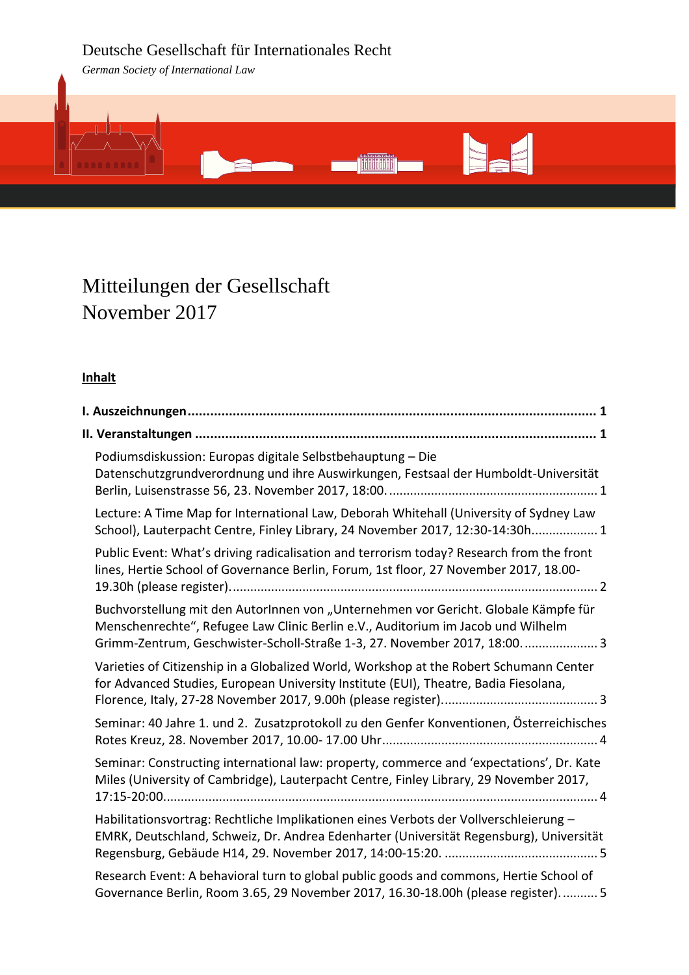# Deutsche Gesellschaft für Internationales Recht

*German Society of International Law*



# Mitteilungen der Gesellschaft November 2017

# **Inhalt**

| Podiumsdiskussion: Europas digitale Selbstbehauptung - Die<br>Datenschutzgrundverordnung und ihre Auswirkungen, Festsaal der Humboldt-Universität                                                                                                   |
|-----------------------------------------------------------------------------------------------------------------------------------------------------------------------------------------------------------------------------------------------------|
| Lecture: A Time Map for International Law, Deborah Whitehall (University of Sydney Law<br>School), Lauterpacht Centre, Finley Library, 24 November 2017, 12:30-14:30h 1                                                                             |
| Public Event: What's driving radicalisation and terrorism today? Research from the front<br>lines, Hertie School of Governance Berlin, Forum, 1st floor, 27 November 2017, 18.00-                                                                   |
| Buchvorstellung mit den AutorInnen von "Unternehmen vor Gericht. Globale Kämpfe für<br>Menschenrechte", Refugee Law Clinic Berlin e.V., Auditorium im Jacob und Wilhelm<br>Grimm-Zentrum, Geschwister-Scholl-Straße 1-3, 27. November 2017, 18:00 3 |
| Varieties of Citizenship in a Globalized World, Workshop at the Robert Schumann Center<br>for Advanced Studies, European University Institute (EUI), Theatre, Badia Fiesolana,                                                                      |
| Seminar: 40 Jahre 1. und 2. Zusatzprotokoll zu den Genfer Konventionen, Österreichisches                                                                                                                                                            |
| Seminar: Constructing international law: property, commerce and 'expectations', Dr. Kate<br>Miles (University of Cambridge), Lauterpacht Centre, Finley Library, 29 November 2017,                                                                  |
| Habilitationsvortrag: Rechtliche Implikationen eines Verbots der Vollverschleierung -<br>EMRK, Deutschland, Schweiz, Dr. Andrea Edenharter (Universität Regensburg), Universität                                                                    |
| Research Event: A behavioral turn to global public goods and commons, Hertie School of<br>Governance Berlin, Room 3.65, 29 November 2017, 16.30-18.00h (please register).  5                                                                        |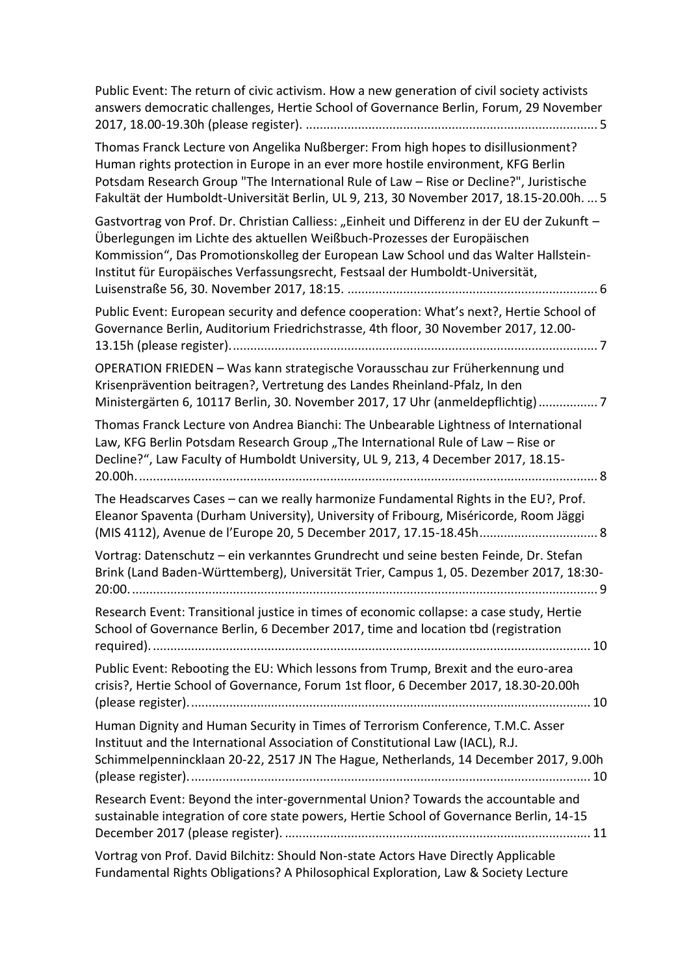| Public Event: The return of civic activism. How a new generation of civil society activists<br>answers democratic challenges, Hertie School of Governance Berlin, Forum, 29 November                                                                                                                                                                        |
|-------------------------------------------------------------------------------------------------------------------------------------------------------------------------------------------------------------------------------------------------------------------------------------------------------------------------------------------------------------|
| Thomas Franck Lecture von Angelika Nußberger: From high hopes to disillusionment?<br>Human rights protection in Europe in an ever more hostile environment, KFG Berlin<br>Potsdam Research Group "The International Rule of Law - Rise or Decline?", Juristische<br>Fakultät der Humboldt-Universität Berlin, UL 9, 213, 30 November 2017, 18.15-20.00h.  5 |
| Gastvortrag von Prof. Dr. Christian Calliess: "Einheit und Differenz in der EU der Zukunft -<br>Überlegungen im Lichte des aktuellen Weißbuch-Prozesses der Europäischen<br>Kommission", Das Promotionskolleg der European Law School und das Walter Hallstein-<br>Institut für Europäisches Verfassungsrecht, Festsaal der Humboldt-Universität,           |
| Public Event: European security and defence cooperation: What's next?, Hertie School of<br>Governance Berlin, Auditorium Friedrichstrasse, 4th floor, 30 November 2017, 12.00-                                                                                                                                                                              |
| OPERATION FRIEDEN - Was kann strategische Vorausschau zur Früherkennung und<br>Krisenprävention beitragen?, Vertretung des Landes Rheinland-Pfalz, In den<br>Ministergärten 6, 10117 Berlin, 30. November 2017, 17 Uhr (anmeldepflichtig)7                                                                                                                  |
| Thomas Franck Lecture von Andrea Bianchi: The Unbearable Lightness of International<br>Law, KFG Berlin Potsdam Research Group "The International Rule of Law - Rise or<br>Decline?", Law Faculty of Humboldt University, UL 9, 213, 4 December 2017, 18.15-<br>20.00h.                                                                                      |
| The Headscarves Cases - can we really harmonize Fundamental Rights in the EU?, Prof.<br>Eleanor Spaventa (Durham University), University of Fribourg, Miséricorde, Room Jäggi<br>(MIS 4112), Avenue de l'Europe 20, 5 December 2017, 17.15-18.45h 8                                                                                                         |
| Vortrag: Datenschutz - ein verkanntes Grundrecht und seine besten Feinde, Dr. Stefan<br>Brink (Land Baden-Württemberg), Universität Trier, Campus 1, 05. Dezember 2017, 18:30-                                                                                                                                                                              |
| Research Event: Transitional justice in times of economic collapse: a case study, Hertie<br>School of Governance Berlin, 6 December 2017, time and location tbd (registration                                                                                                                                                                               |
| Public Event: Rebooting the EU: Which lessons from Trump, Brexit and the euro-area<br>crisis?, Hertie School of Governance, Forum 1st floor, 6 December 2017, 18.30-20.00h                                                                                                                                                                                  |
| Human Dignity and Human Security in Times of Terrorism Conference, T.M.C. Asser<br>Instituut and the International Association of Constitutional Law (IACL), R.J.<br>Schimmelpennincklaan 20-22, 2517 JN The Hague, Netherlands, 14 December 2017, 9.00h                                                                                                    |
| Research Event: Beyond the inter-governmental Union? Towards the accountable and<br>sustainable integration of core state powers, Hertie School of Governance Berlin, 14-15                                                                                                                                                                                 |
| Vortrag von Prof. David Bilchitz: Should Non-state Actors Have Directly Applicable<br>Fundamental Rights Obligations? A Philosophical Exploration, Law & Society Lecture                                                                                                                                                                                    |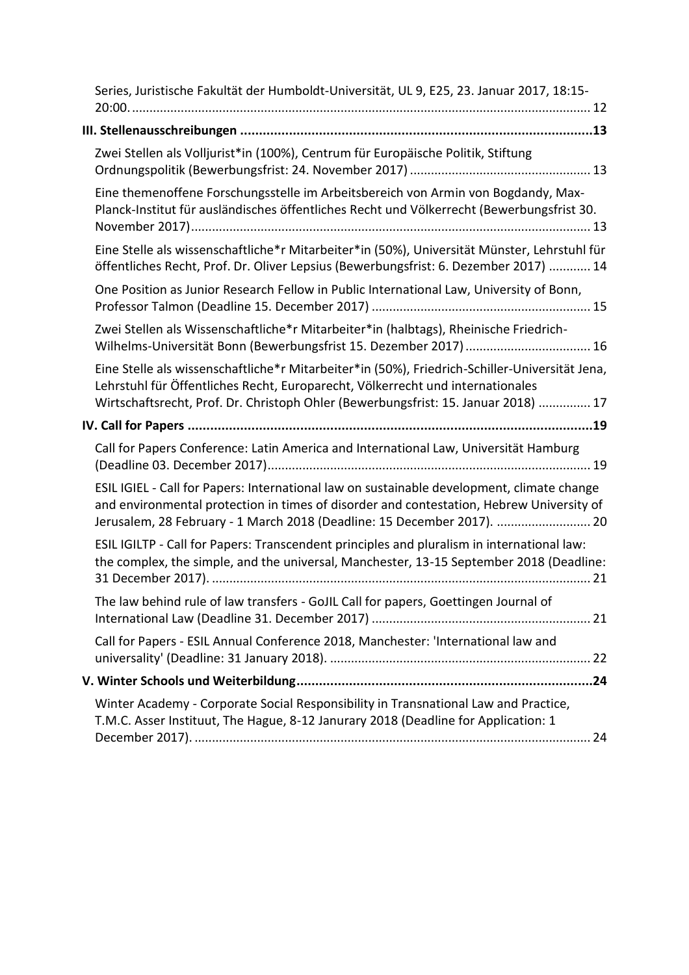| Series, Juristische Fakultät der Humboldt-Universität, UL 9, E25, 23. Januar 2017, 18:15-                                                                                                                                                                              |
|------------------------------------------------------------------------------------------------------------------------------------------------------------------------------------------------------------------------------------------------------------------------|
|                                                                                                                                                                                                                                                                        |
| Zwei Stellen als Volljurist*in (100%), Centrum für Europäische Politik, Stiftung                                                                                                                                                                                       |
| Eine themenoffene Forschungsstelle im Arbeitsbereich von Armin von Bogdandy, Max-<br>Planck-Institut für ausländisches öffentliches Recht und Völkerrecht (Bewerbungsfrist 30.                                                                                         |
| Eine Stelle als wissenschaftliche*r Mitarbeiter*in (50%), Universität Münster, Lehrstuhl für<br>öffentliches Recht, Prof. Dr. Oliver Lepsius (Bewerbungsfrist: 6. Dezember 2017)  14                                                                                   |
| One Position as Junior Research Fellow in Public International Law, University of Bonn,                                                                                                                                                                                |
| Zwei Stellen als Wissenschaftliche*r Mitarbeiter*in (halbtags), Rheinische Friedrich-<br>Wilhelms-Universität Bonn (Bewerbungsfrist 15. Dezember 2017)  16                                                                                                             |
| Eine Stelle als wissenschaftliche*r Mitarbeiter*in (50%), Friedrich-Schiller-Universität Jena,<br>Lehrstuhl für Öffentliches Recht, Europarecht, Völkerrecht und internationales<br>Wirtschaftsrecht, Prof. Dr. Christoph Ohler (Bewerbungsfrist: 15. Januar 2018)  17 |
|                                                                                                                                                                                                                                                                        |
|                                                                                                                                                                                                                                                                        |
| Call for Papers Conference: Latin America and International Law, Universität Hamburg                                                                                                                                                                                   |
| ESIL IGIEL - Call for Papers: International law on sustainable development, climate change<br>and environmental protection in times of disorder and contestation, Hebrew University of<br>Jerusalem, 28 February - 1 March 2018 (Deadline: 15 December 2017).  20      |
| ESIL IGILTP - Call for Papers: Transcendent principles and pluralism in international law:<br>the complex, the simple, and the universal, Manchester, 13-15 September 2018 (Deadline:                                                                                  |
| The law behind rule of law transfers - GoJIL Call for papers, Goettingen Journal of                                                                                                                                                                                    |
| Call for Papers - ESIL Annual Conference 2018, Manchester: 'International law and                                                                                                                                                                                      |
|                                                                                                                                                                                                                                                                        |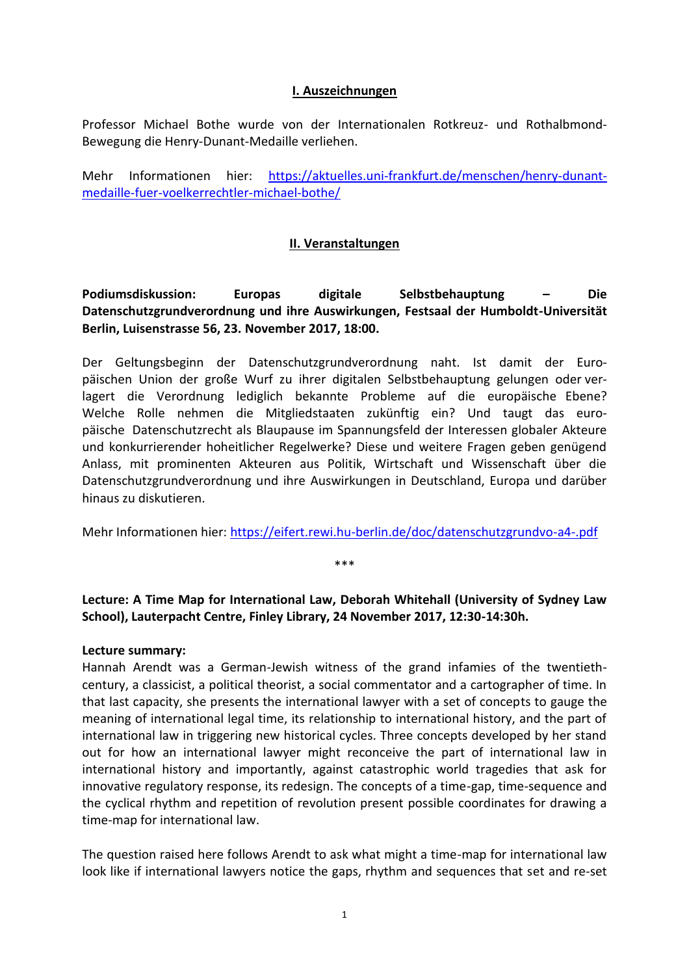#### **I. Auszeichnungen**

<span id="page-3-0"></span>Professor Michael Bothe wurde von der Internationalen Rotkreuz- und Rothalbmond-Bewegung die Henry-Dunant-Medaille verliehen.

Mehr Informationen hier: [https://aktuelles.uni-frankfurt.de/menschen/henry-dunant](https://aktuelles.uni-frankfurt.de/menschen/henry-dunant-medaille-fuer-voelkerrechtler-michael-bothe/)[medaille-fuer-voelkerrechtler-michael-bothe/](https://aktuelles.uni-frankfurt.de/menschen/henry-dunant-medaille-fuer-voelkerrechtler-michael-bothe/)

### **II. Veranstaltungen**

<span id="page-3-2"></span><span id="page-3-1"></span>**Podiumsdiskussion: Europas digitale Selbstbehauptung – Die Datenschutzgrundverordnung und ihre Auswirkungen, Festsaal der Humboldt-Universität Berlin, Luisenstrasse 56, 23. November 2017, 18:00.**

Der Geltungsbeginn der Datenschutzgrundverordnung naht. Ist damit der Europäischen Union der große Wurf zu ihrer digitalen Selbstbehauptung gelungen oder verlagert die Verordnung lediglich bekannte Probleme auf die europäische Ebene? Welche Rolle nehmen die Mitgliedstaaten zukünftig ein? Und taugt das europäische Datenschutzrecht als Blaupause im Spannungsfeld der Interessen globaler Akteure und konkurrierender hoheitlicher Regelwerke? Diese und weitere Fragen geben genügend Anlass, mit prominenten Akteuren aus Politik, Wirtschaft und Wissenschaft über die Datenschutzgrundverordnung und ihre Auswirkungen in Deutschland, Europa und darüber hinaus zu diskutieren.

Mehr Informationen hier:<https://eifert.rewi.hu-berlin.de/doc/datenschutzgrundvo-a4-.pdf>

\*\*\*

# <span id="page-3-3"></span>**Lecture: A Time Map for International Law, Deborah Whitehall (University of Sydney Law School), Lauterpacht Centre, Finley Library, 24 November 2017, 12:30-14:30h.**

#### **Lecture summary:**

Hannah Arendt was a German-Jewish witness of the grand infamies of the twentiethcentury, a classicist, a political theorist, a social commentator and a cartographer of time. In that last capacity, she presents the international lawyer with a set of concepts to gauge the meaning of international legal time, its relationship to international history, and the part of international law in triggering new historical cycles. Three concepts developed by her stand out for how an international lawyer might reconceive the part of international law in international history and importantly, against catastrophic world tragedies that ask for innovative regulatory response, its redesign. The concepts of a time-gap, time-sequence and the cyclical rhythm and repetition of revolution present possible coordinates for drawing a time-map for international law.

The question raised here follows Arendt to ask what might a time-map for international law look like if international lawyers notice the gaps, rhythm and sequences that set and re-set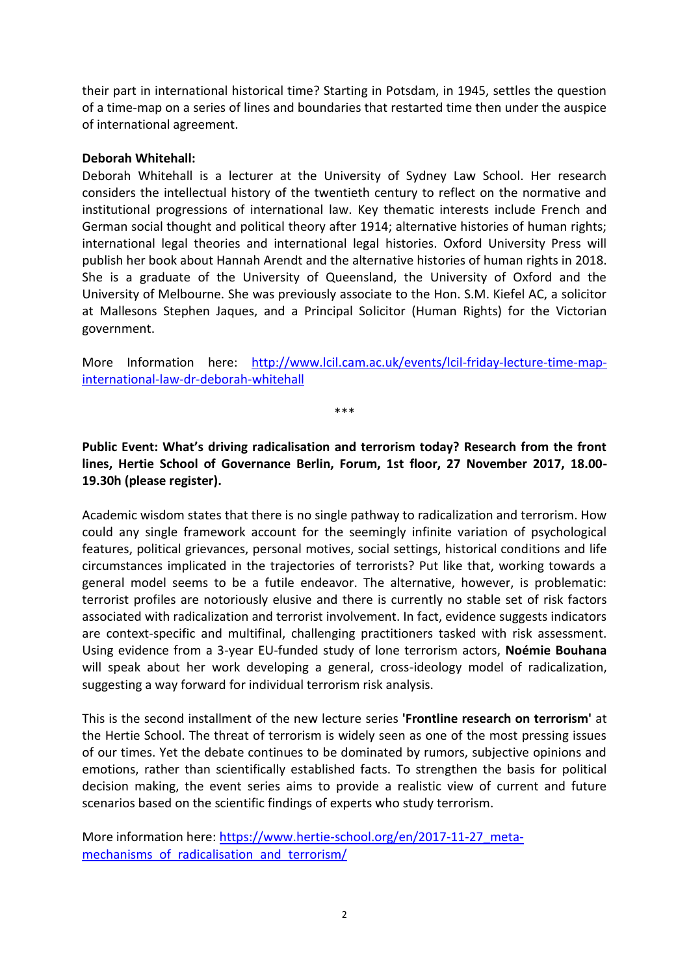their part in international historical time? Starting in Potsdam, in 1945, settles the question of a time-map on a series of lines and boundaries that restarted time then under the auspice of international agreement.

#### **Deborah Whitehall:**

Deborah Whitehall is a lecturer at the University of Sydney Law School. Her research considers the intellectual history of the twentieth century to reflect on the normative and institutional progressions of international law. Key thematic interests include French and German social thought and political theory after 1914; alternative histories of human rights; international legal theories and international legal histories. Oxford University Press will publish her book about Hannah Arendt and the alternative histories of human rights in 2018. She is a graduate of the University of Queensland, the University of Oxford and the University of Melbourne. She was previously associate to the Hon. S.M. Kiefel AC, a solicitor at Mallesons Stephen Jaques, and a Principal Solicitor (Human Rights) for the Victorian government.

More Information here: [http://www.lcil.cam.ac.uk/events/lcil-friday-lecture-time-map](http://www.lcil.cam.ac.uk/events/lcil-friday-lecture-time-map-international-law-dr-deborah-whitehall)[international-law-dr-deborah-whitehall](http://www.lcil.cam.ac.uk/events/lcil-friday-lecture-time-map-international-law-dr-deborah-whitehall)

\*\*\*

<span id="page-4-0"></span>**Public Event: What's driving radicalisation and terrorism today? Research from the front lines, Hertie School of Governance Berlin, Forum, 1st floor, 27 November 2017, 18.00- 19.30h (please register).**

Academic wisdom states that there is no single pathway to radicalization and terrorism. How could any single framework account for the seemingly infinite variation of psychological features, political grievances, personal motives, social settings, historical conditions and life circumstances implicated in the trajectories of terrorists? Put like that, working towards a general model seems to be a futile endeavor. The alternative, however, is problematic: terrorist profiles are notoriously elusive and there is currently no stable set of risk factors associated with radicalization and terrorist involvement. In fact, evidence suggests indicators are context-specific and multifinal, challenging practitioners tasked with risk assessment. Using evidence from a 3-year EU-funded study of lone terrorism actors, **Noémie Bouhana** will speak about her work developing a general, cross-ideology model of radicalization, suggesting a way forward for individual terrorism risk analysis.

This is the second installment of the new lecture series **'Frontline research on terrorism'** at the Hertie School. The threat of terrorism is widely seen as one of the most pressing issues of our times. Yet the debate continues to be dominated by rumors, subjective opinions and emotions, rather than scientifically established facts. To strengthen the basis for political decision making, the event series aims to provide a realistic view of current and future scenarios based on the scientific findings of experts who study terrorism.

More information here: [https://www.hertie-school.org/en/2017-11-27\\_meta](https://www.hertie-school.org/en/2017-11-27_meta-mechanisms_of_radicalisation_and_terrorism/)mechanisms of radicalisation and terrorism/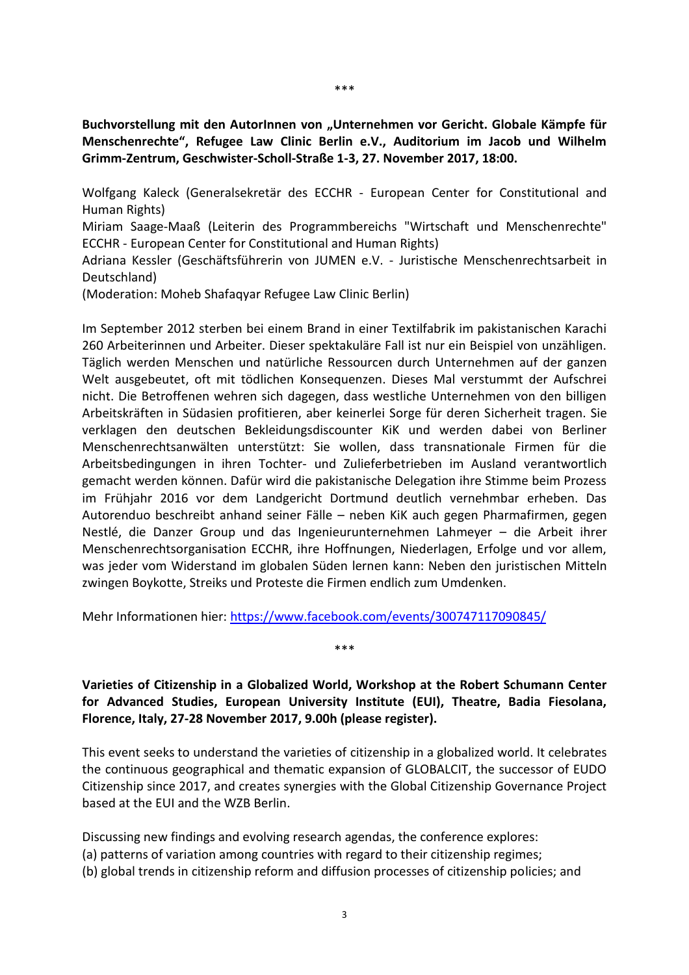<span id="page-5-0"></span>**Buchvorstellung mit den AutorInnen von "Unternehmen vor Gericht. Globale Kämpfe für Menschenrechte", Refugee Law Clinic Berlin e.V., Auditorium im Jacob und Wilhelm Grimm-Zentrum, Geschwister-Scholl-Straße 1-3, 27. November 2017, 18:00.**

Wolfgang Kaleck (Generalsekretär des ECCHR - European Center for Constitutional and Human Rights)

Miriam Saage-Maaß (Leiterin des Programmbereichs "Wirtschaft und Menschenrechte" ECCHR - European Center for Constitutional and Human Rights)

Adriana Kessler (Geschäftsführerin von JUMEN e.V. - Juristische Menschenrechtsarbeit in Deutschland)

(Moderation: Moheb Shafaqyar Refugee Law Clinic Berlin)

Im September 2012 sterben bei einem Brand in einer Textilfabrik im pakistanischen Karachi 260 Arbeiterinnen und Arbeiter. Dieser spektakuläre Fall ist nur ein Beispiel von unzähligen. Täglich werden Menschen und natürliche Ressourcen durch Unternehmen auf der ganzen Welt ausgebeutet, oft mit tödlichen Konsequenzen. Dieses Mal verstummt der Aufschrei nicht. Die Betroffenen wehren sich dagegen, dass westliche Unternehmen von den billigen Arbeitskräften in Südasien profitieren, aber keinerlei Sorge für deren Sicherheit tragen. Sie verklagen den deutschen Bekleidungsdiscounter KiK und werden dabei von Berliner Menschenrechtsanwälten unterstützt: Sie wollen, dass transnationale Firmen für die Arbeitsbedingungen in ihren Tochter- und Zulieferbetrieben im Ausland verantwortlich gemacht werden können. Dafür wird die pakistanische Delegation ihre Stimme beim Prozess im Frühjahr 2016 vor dem Landgericht Dortmund deutlich vernehmbar erheben. Das Autorenduo beschreibt anhand seiner Fälle – neben KiK auch gegen Pharmafirmen, gegen Nestlé, die Danzer Group und das Ingenieurunternehmen Lahmeyer – die Arbeit ihrer Menschenrechtsorganisation ECCHR, ihre Hoffnungen, Niederlagen, Erfolge und vor allem, was jeder vom Widerstand im globalen Süden lernen kann: Neben den juristischen Mitteln zwingen Boykotte, Streiks und Proteste die Firmen endlich zum Umdenken.

Mehr Informationen hier:<https://www.facebook.com/events/300747117090845/>

<span id="page-5-1"></span>**Varieties of Citizenship in a Globalized World, Workshop at the Robert Schumann Center for Advanced Studies, European University Institute (EUI), Theatre, Badia Fiesolana, Florence, Italy, 27-28 November 2017, 9.00h (please register).**

\*\*\*

This event seeks to understand the varieties of citizenship in a globalized world. It celebrates the continuous geographical and thematic expansion of GLOBALCIT, the successor of EUDO Citizenship since 2017, and creates synergies with the Global Citizenship Governance Project based at the EUI and the WZB Berlin.

Discussing new findings and evolving research agendas, the conference explores: (a) patterns of variation among countries with regard to their citizenship regimes; (b) global trends in citizenship reform and diffusion processes of citizenship policies; and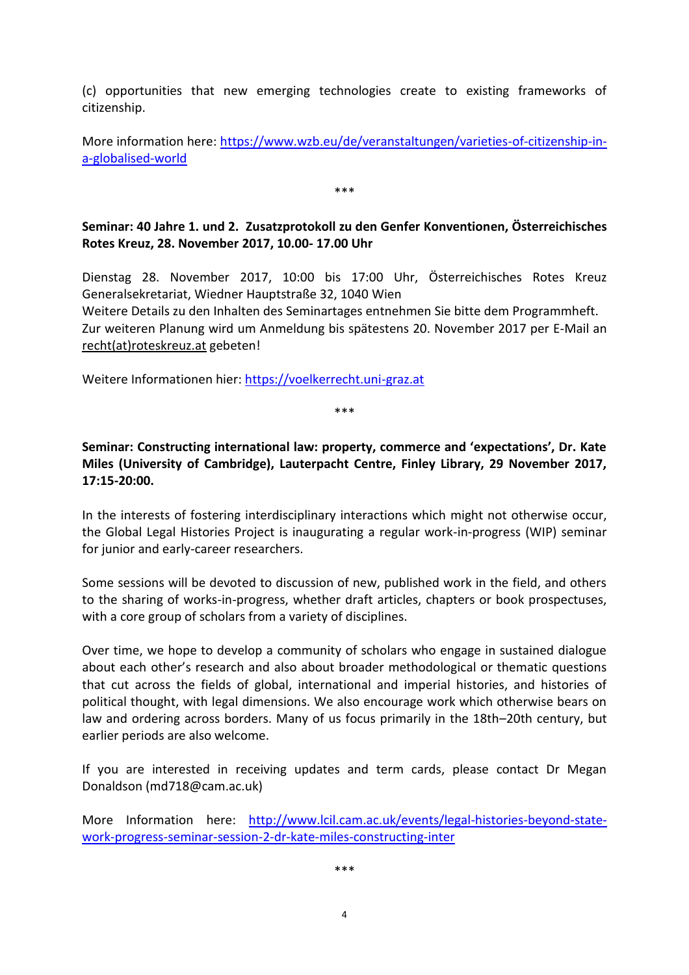(c) opportunities that new emerging technologies create to existing frameworks of citizenship.

More information here: [https://www.wzb.eu/de/veranstaltungen/varieties-of-citizenship-in](https://www.wzb.eu/de/veranstaltungen/varieties-of-citizenship-in-a-globalised-world)[a-globalised-world](https://www.wzb.eu/de/veranstaltungen/varieties-of-citizenship-in-a-globalised-world)

\*\*\*

## <span id="page-6-0"></span>**Seminar: 40 Jahre 1. und 2. Zusatzprotokoll zu den Genfer Konventionen, Österreichisches Rotes Kreuz, 28. November 2017, 10.00- 17.00 Uhr**

Dienstag 28. November 2017, 10:00 bis 17:00 Uhr, Österreichisches Rotes Kreuz Generalsekretariat, Wiedner Hauptstraße 32, 1040 Wien

Weitere Details zu den Inhalten des Seminartages entnehmen Sie bitte dem Programmheft. Zur weiteren Planung wird um Anmeldung bis spätestens 20. November 2017 per E-Mail an recht(at)roteskreuz.at gebeten!

Weitere Informationen hier: [https://voelkerrecht.uni-graz.at](https://voelkerrecht.uni-graz.at/)

\*\*\*

## <span id="page-6-1"></span>**Seminar: Constructing international law: property, commerce and 'expectations', Dr. Kate Miles (University of Cambridge), Lauterpacht Centre, Finley Library, 29 November 2017, 17:15-20:00.**

In the interests of fostering interdisciplinary interactions which might not otherwise occur, the Global Legal Histories Project is inaugurating a regular work-in-progress (WIP) seminar for junior and early-career researchers.

Some sessions will be devoted to discussion of new, published work in the field, and others to the sharing of works-in-progress, whether draft articles, chapters or book prospectuses, with a core group of scholars from a variety of disciplines.

Over time, we hope to develop a community of scholars who engage in sustained dialogue about each other's research and also about broader methodological or thematic questions that cut across the fields of global, international and imperial histories, and histories of political thought, with legal dimensions. We also encourage work which otherwise bears on law and ordering across borders. Many of us focus primarily in the 18th–20th century, but earlier periods are also welcome.

If you are interested in receiving updates and term cards, please contact Dr Megan Donaldson (md718@cam.ac.uk)

More Information here: [http://www.lcil.cam.ac.uk/events/legal-histories-beyond-state](http://www.lcil.cam.ac.uk/events/legal-histories-beyond-state-work-progress-seminar-session-2-dr-kate-miles-constructing-inter)[work-progress-seminar-session-2-dr-kate-miles-constructing-inter](http://www.lcil.cam.ac.uk/events/legal-histories-beyond-state-work-progress-seminar-session-2-dr-kate-miles-constructing-inter)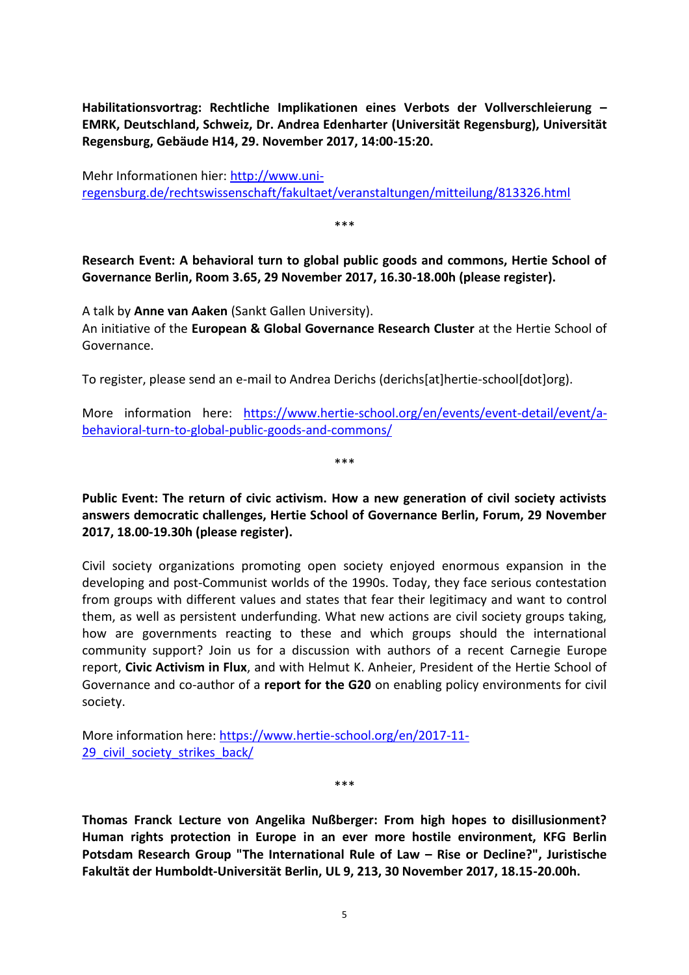<span id="page-7-0"></span>**Habilitationsvortrag: Rechtliche Implikationen eines Verbots der Vollverschleierung – EMRK, Deutschland, Schweiz, Dr. Andrea Edenharter (Universität Regensburg), Universität Regensburg, Gebäude H14, 29. November 2017, 14:00-15:20.**

Mehr Informationen hier: [http://www.uni](http://www.uni-regensburg.de/rechtswissenschaft/fakultaet/veranstaltungen/mitteilung/813326.html)[regensburg.de/rechtswissenschaft/fakultaet/veranstaltungen/mitteilung/813326.html](http://www.uni-regensburg.de/rechtswissenschaft/fakultaet/veranstaltungen/mitteilung/813326.html)

\*\*\*

<span id="page-7-1"></span>**Research Event: A behavioral turn to global public goods and commons, Hertie School of Governance Berlin, Room 3.65, 29 November 2017, 16.30-18.00h (please register).**

A talk by **Anne van Aaken** (Sankt Gallen University). An initiative of the **European & Global Governance Research Cluster** at the Hertie School of Governance.

To register, please send an e-mail to Andrea Derichs (derichs[at]hertie-school[dot]org).

More information here: [https://www.hertie-school.org/en/events/event-detail/event/a](https://www.hertie-school.org/en/events/event-detail/event/a-behavioral-turn-to-global-public-goods-and-commons/)[behavioral-turn-to-global-public-goods-and-commons/](https://www.hertie-school.org/en/events/event-detail/event/a-behavioral-turn-to-global-public-goods-and-commons/)

\*\*\*

<span id="page-7-2"></span>**Public Event: The return of civic activism. How a new generation of civil society activists answers democratic challenges, Hertie School of Governance Berlin, Forum, 29 November 2017, 18.00-19.30h (please register).**

Civil society organizations promoting open society enjoyed enormous expansion in the developing and post-Communist worlds of the 1990s. Today, they face serious contestation from groups with different values and states that fear their legitimacy and want to control them, as well as persistent underfunding. What new actions are civil society groups taking, how are governments reacting to these and which groups should the international community support? Join us for a discussion with authors of a recent Carnegie Europe report, **Civic Activism in Flux**, and with Helmut K. Anheier, President of the Hertie School of Governance and co-author of a **report for the G20** on enabling policy environments for civil society.

More information here: [https://www.hertie-school.org/en/2017-11-](https://www.hertie-school.org/en/2017-11-29_civil_society_strikes_back/) 29 civil society strikes back/

<span id="page-7-3"></span>**Thomas Franck Lecture von Angelika Nußberger: From high hopes to disillusionment? Human rights protection in Europe in an ever more hostile environment, KFG Berlin Potsdam Research Group "The International Rule of Law – Rise or Decline?", Juristische Fakultät der Humboldt-Universität Berlin, UL 9, 213, 30 November 2017, 18.15-20.00h.**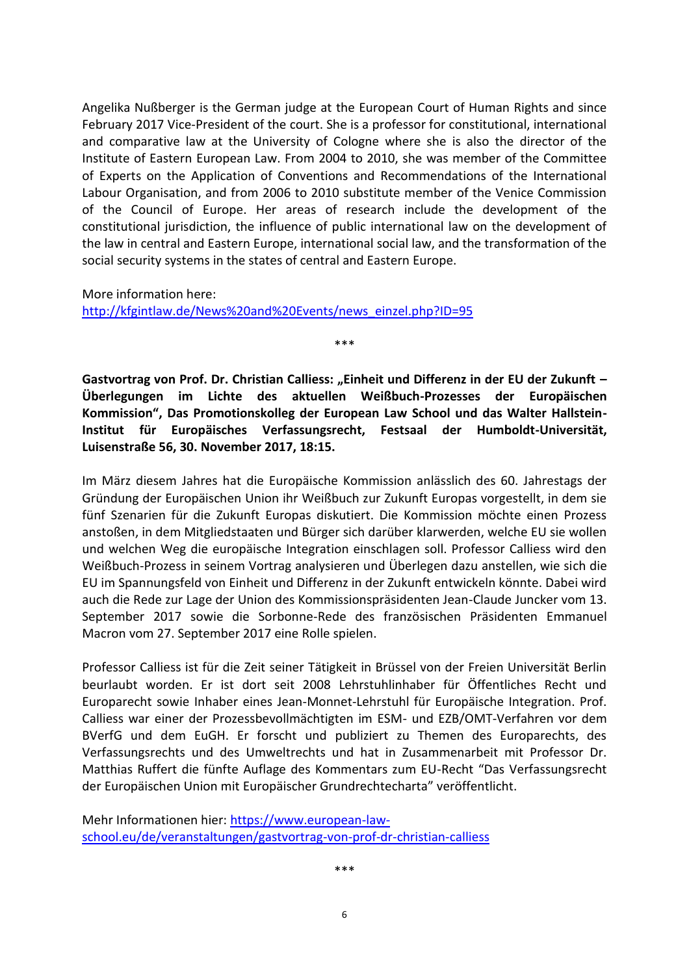Angelika Nußberger is the German judge at the European Court of Human Rights and since February 2017 Vice-President of the court. She is a professor for constitutional, international and comparative law at the University of Cologne where she is also the director of the Institute of Eastern European Law. From 2004 to 2010, she was member of the Committee of Experts on the Application of Conventions and Recommendations of the International Labour Organisation, and from 2006 to 2010 substitute member of the Venice Commission of the Council of Europe. Her areas of research include the development of the constitutional jurisdiction, the influence of public international law on the development of the law in central and Eastern Europe, international social law, and the transformation of the social security systems in the states of central and Eastern Europe.

More information here:

[http://kfgintlaw.de/News%20and%20Events/news\\_einzel.php?ID=95](http://kfgintlaw.de/News%20and%20Events/news_einzel.php?ID=95)

<span id="page-8-0"></span>Gastvortrag von Prof. Dr. Christian Calliess: "Einheit und Differenz in der EU der Zukunft – **Überlegungen im Lichte des aktuellen Weißbuch-Prozesses der Europäischen Kommission", Das Promotionskolleg der European Law School und das Walter Hallstein-Institut für Europäisches Verfassungsrecht, Festsaal der Humboldt-Universität, Luisenstraße 56, 30. November 2017, 18:15.**

\*\*\*

Im März diesem Jahres hat die Europäische Kommission anlässlich des 60. Jahrestags der Gründung der Europäischen Union ihr Weißbuch zur Zukunft Europas vorgestellt, in dem sie fünf Szenarien für die Zukunft Europas diskutiert. Die Kommission möchte einen Prozess anstoßen, in dem Mitgliedstaaten und Bürger sich darüber klarwerden, welche EU sie wollen und welchen Weg die europäische Integration einschlagen soll. Professor Calliess wird den Weißbuch-Prozess in seinem Vortrag analysieren und Überlegen dazu anstellen, wie sich die EU im Spannungsfeld von Einheit und Differenz in der Zukunft entwickeln könnte. Dabei wird auch die Rede zur Lage der Union des Kommissionspräsidenten Jean-Claude Juncker vom 13. September 2017 sowie die Sorbonne-Rede des französischen Präsidenten Emmanuel Macron vom 27. September 2017 eine Rolle spielen.

Professor Calliess ist für die Zeit seiner Tätigkeit in Brüssel von der Freien Universität Berlin beurlaubt worden. Er ist dort seit 2008 Lehrstuhlinhaber für Öffentliches Recht und Europarecht sowie Inhaber eines Jean-Monnet-Lehrstuhl für Europäische Integration. Prof. Calliess war einer der Prozessbevollmächtigten im ESM- und EZB/OMT-Verfahren vor dem BVerfG und dem EuGH. Er forscht und publiziert zu Themen des Europarechts, des Verfassungsrechts und des Umweltrechts und hat in Zusammenarbeit mit Professor Dr. Matthias Ruffert die fünfte Auflage des Kommentars zum EU-Recht "Das Verfassungsrecht der Europäischen Union mit Europäischer Grundrechtecharta" veröffentlicht.

Mehr Informationen hier: [https://www.european-law](https://www.european-law-school.eu/de/veranstaltungen/gastvortrag-von-prof-dr-christian-calliess)[school.eu/de/veranstaltungen/gastvortrag-von-prof-dr-christian-calliess](https://www.european-law-school.eu/de/veranstaltungen/gastvortrag-von-prof-dr-christian-calliess)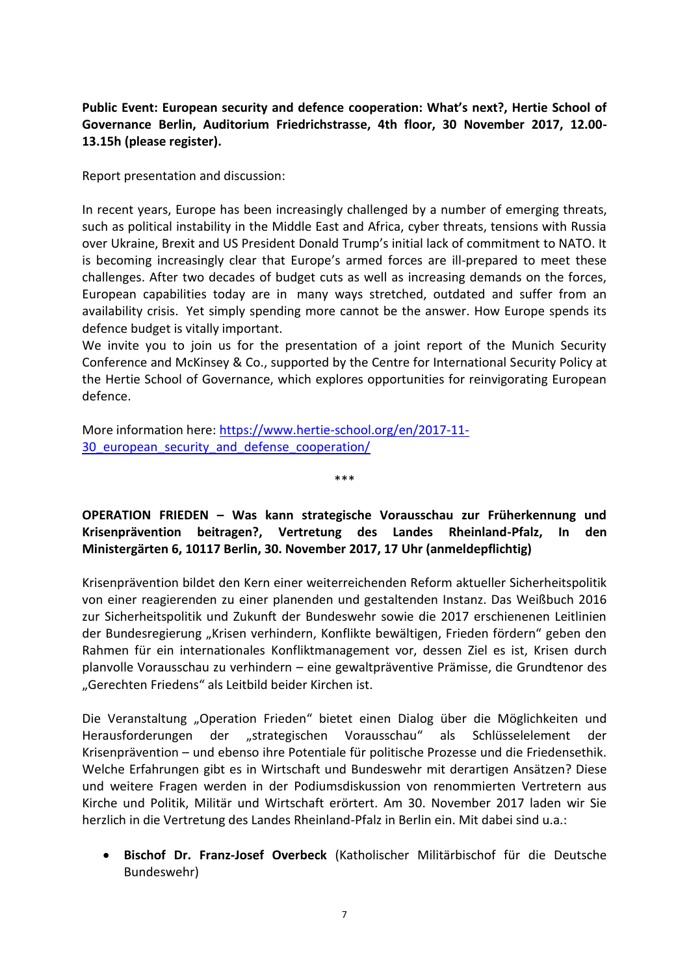## <span id="page-9-0"></span>**Public Event: European security and defence cooperation: What's next?, Hertie School of Governance Berlin, Auditorium Friedrichstrasse, 4th floor, 30 November 2017, 12.00- 13.15h (please register).**

Report presentation and discussion:

In recent years, Europe has been increasingly challenged by a number of emerging threats, such as political instability in the Middle East and Africa, cyber threats, tensions with Russia over Ukraine, Brexit and US President Donald Trump's initial lack of commitment to NATO. It is becoming increasingly clear that Europe's armed forces are ill-prepared to meet these challenges. After two decades of budget cuts as well as increasing demands on the forces, European capabilities today are in many ways stretched, outdated and suffer from an availability crisis. Yet simply spending more cannot be the answer. How Europe spends its defence budget is vitally important.

We invite you to join us for the presentation of a joint report of the Munich Security Conference and McKinsey & Co., supported by the Centre for International Security Policy at the Hertie School of Governance, which explores opportunities for reinvigorating European defence.

More information here: [https://www.hertie-school.org/en/2017-11-](https://www.hertie-school.org/en/2017-11-30_european_security_and_defense_cooperation/) 30 european security and defense cooperation/

<span id="page-9-1"></span>**OPERATION FRIEDEN – Was kann strategische Vorausschau zur Früherkennung und Krisenprävention beitragen?, Vertretung des Landes Rheinland-Pfalz, In den Ministergärten 6, 10117 Berlin, 30. November 2017, 17 Uhr (anmeldepflichtig)**

\*\*\*

Krisenprävention bildet den Kern einer weiterreichenden Reform aktueller Sicherheitspolitik von einer reagierenden zu einer planenden und gestaltenden Instanz. Das Weißbuch 2016 zur Sicherheitspolitik und Zukunft der Bundeswehr sowie die 2017 erschienenen Leitlinien der Bundesregierung "Krisen verhindern, Konflikte bewältigen, Frieden fördern" geben den Rahmen für ein internationales Konfliktmanagement vor, dessen Ziel es ist, Krisen durch planvolle Vorausschau zu verhindern – eine gewaltpräventive Prämisse, die Grundtenor des "Gerechten Friedens" als Leitbild beider Kirchen ist.

Die Veranstaltung "Operation Frieden" bietet einen Dialog über die Möglichkeiten und Herausforderungen der "strategischen Vorausschau" als Schlüsselelement der Krisenprävention – und ebenso ihre Potentiale für politische Prozesse und die Friedensethik. Welche Erfahrungen gibt es in Wirtschaft und Bundeswehr mit derartigen Ansätzen? Diese und weitere Fragen werden in der Podiumsdiskussion von renommierten Vertretern aus Kirche und Politik, Militär und Wirtschaft erörtert. Am 30. November 2017 laden wir Sie herzlich in die Vertretung des Landes Rheinland-Pfalz in Berlin ein. Mit dabei sind u.a.:

 **Bischof Dr. Franz-Josef Overbeck** (Katholischer Militärbischof für die Deutsche Bundeswehr)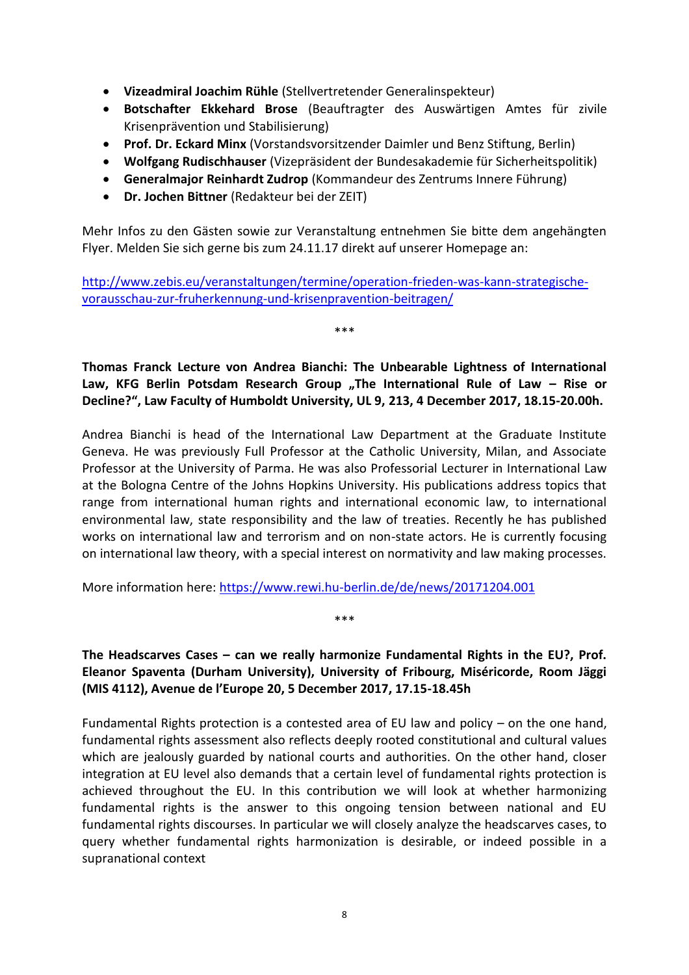- **Vizeadmiral Joachim Rühle** (Stellvertretender Generalinspekteur)
- **Botschafter Ekkehard Brose** (Beauftragter des Auswärtigen Amtes für zivile Krisenprävention und Stabilisierung)
- **Prof. Dr. Eckard Minx** (Vorstandsvorsitzender Daimler und Benz Stiftung, Berlin)
- **Wolfgang Rudischhauser** (Vizepräsident der Bundesakademie für Sicherheitspolitik)
- **Generalmajor Reinhardt Zudrop** (Kommandeur des Zentrums Innere Führung)
- **Dr. Jochen Bittner** (Redakteur bei der ZEIT)

Mehr Infos zu den Gästen sowie zur Veranstaltung entnehmen Sie bitte dem angehängten Flyer. Melden Sie sich gerne bis zum 24.11.17 direkt auf unserer Homepage an:

[http://www.zebis.eu/veranstaltungen/termine/operation-frieden-was-kann-strategische](http://www.zebis.eu/veranstaltungen/termine/operation-frieden-was-kann-strategische-vorausschau-zur-fruherkennung-und-krisenpravention-beitragen/)[vorausschau-zur-fruherkennung-und-krisenpravention-beitragen/](http://www.zebis.eu/veranstaltungen/termine/operation-frieden-was-kann-strategische-vorausschau-zur-fruherkennung-und-krisenpravention-beitragen/)

<span id="page-10-0"></span>**Thomas Franck Lecture von Andrea Bianchi: The Unbearable Lightness of International**  Law, KFG Berlin Potsdam Research Group "The International Rule of Law - Rise or **Decline?", Law Faculty of Humboldt University, UL 9, 213, 4 December 2017, 18.15-20.00h.**

\*\*\*

Andrea Bianchi is head of the International Law Department at the Graduate Institute Geneva. He was previously Full Professor at the Catholic University, Milan, and Associate Professor at the University of Parma. He was also Professorial Lecturer in International Law at the Bologna Centre of the Johns Hopkins University. His publications address topics that range from international human rights and international economic law, to international environmental law, state responsibility and the law of treaties. Recently he has published works on international law and terrorism and on non-state actors. He is currently focusing on international law theory, with a special interest on normativity and law making processes.

More information here:<https://www.rewi.hu-berlin.de/de/news/20171204.001>

<span id="page-10-1"></span>**The Headscarves Cases – can we really harmonize Fundamental Rights in the EU?, Prof. Eleanor Spaventa (Durham University), University of Fribourg, Miséricorde, Room Jäggi (MIS 4112), Avenue de l'Europe 20, 5 December 2017, 17.15-18.45h**

\*\*\*

Fundamental Rights protection is a contested area of EU law and policy – on the one hand, fundamental rights assessment also reflects deeply rooted constitutional and cultural values which are jealously guarded by national courts and authorities. On the other hand, closer integration at EU level also demands that a certain level of fundamental rights protection is achieved throughout the EU. In this contribution we will look at whether harmonizing fundamental rights is the answer to this ongoing tension between national and EU fundamental rights discourses. In particular we will closely analyze the headscarves cases, to query whether fundamental rights harmonization is desirable, or indeed possible in a supranational context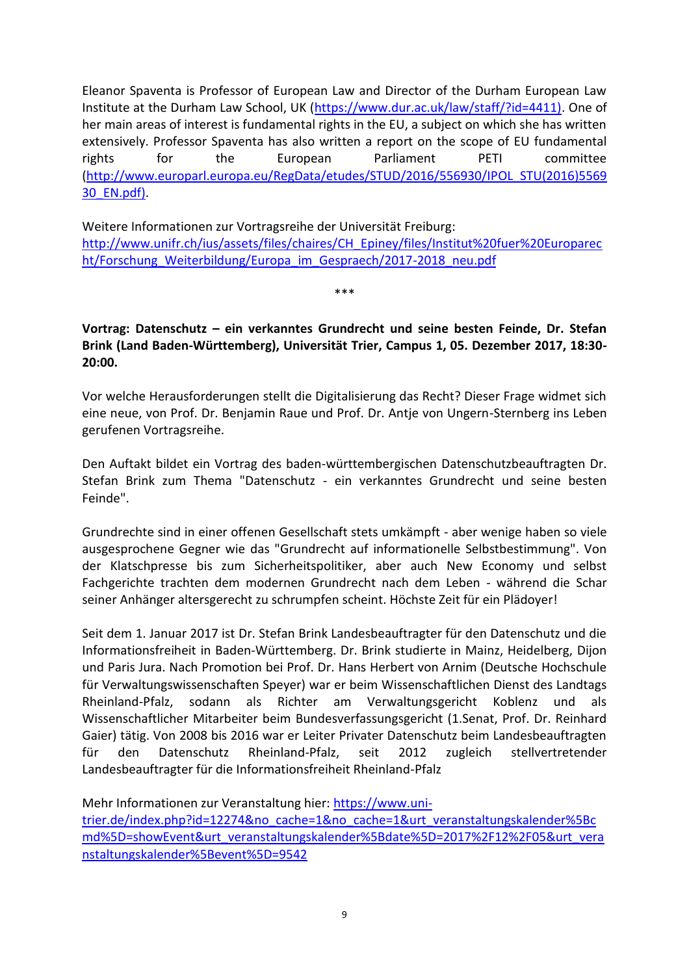Eleanor Spaventa is Professor of European Law and Director of the Durham European Law Institute at the Durham Law School, UK [\(https://www.dur.ac.uk/law/staff/?id=4411\).](https://www.dur.ac.uk/law/staff/?id=4411)) One of her main areas of interest is fundamental rights in the EU, a subject on which she has written extensively. Professor Spaventa has also written a report on the scope of EU fundamental rights for the European Parliament PETI committee [\(http://www.europarl.europa.eu/RegData/etudes/STUD/2016/556930/IPOL\\_STU\(2016\)5569](http://www.europarl.europa.eu/RegData/etudes/STUD/2016/556930/IPOL_STU(2016)556930_EN.pdf)) [30\\_EN.pdf\).](http://www.europarl.europa.eu/RegData/etudes/STUD/2016/556930/IPOL_STU(2016)556930_EN.pdf))

Weitere Informationen zur Vortragsreihe der Universität Freiburg: [http://www.unifr.ch/ius/assets/files/chaires/CH\\_Epiney/files/Institut%20fuer%20Europarec](http://www.unifr.ch/ius/assets/files/chaires/CH_Epiney/files/Institut%20fuer%20Europarecht/Forschung_Weiterbildung/Europa_im_Gespraech/2017-2018_neu.pdf) ht/Forschung Weiterbildung/Europa\_im\_Gespraech/2017-2018\_neu.pdf

\*\*\*

## <span id="page-11-0"></span>**Vortrag: Datenschutz – ein verkanntes Grundrecht und seine besten Feinde, Dr. Stefan Brink (Land Baden-Württemberg), Universität Trier, Campus 1, 05. Dezember 2017, 18:30- 20:00.**

Vor welche Herausforderungen stellt die Digitalisierung das Recht? Dieser Frage widmet sich eine neue, von Prof. Dr. Benjamin Raue und Prof. Dr. Antje von Ungern-Sternberg ins Leben gerufenen Vortragsreihe.

Den Auftakt bildet ein Vortrag des baden-württembergischen Datenschutzbeauftragten Dr. Stefan Brink zum Thema "Datenschutz - ein verkanntes Grundrecht und seine besten Feinde".

Grundrechte sind in einer offenen Gesellschaft stets umkämpft - aber wenige haben so viele ausgesprochene Gegner wie das "Grundrecht auf informationelle Selbstbestimmung". Von der Klatschpresse bis zum Sicherheitspolitiker, aber auch New Economy und selbst Fachgerichte trachten dem modernen Grundrecht nach dem Leben - während die Schar seiner Anhänger altersgerecht zu schrumpfen scheint. Höchste Zeit für ein Plädoyer!

Seit dem 1. Januar 2017 ist Dr. Stefan Brink Landesbeauftragter für den Datenschutz und die Informationsfreiheit in Baden-Württemberg. Dr. Brink studierte in Mainz, Heidelberg, Dijon und Paris Jura. Nach Promotion bei Prof. Dr. Hans Herbert von Arnim (Deutsche Hochschule für Verwaltungswissenschaften Speyer) war er beim Wissenschaftlichen Dienst des Landtags Rheinland-Pfalz, sodann als Richter am Verwaltungsgericht Koblenz und als Wissenschaftlicher Mitarbeiter beim Bundesverfassungsgericht (1.Senat, Prof. Dr. Reinhard Gaier) tätig. Von 2008 bis 2016 war er Leiter Privater Datenschutz beim Landesbeauftragten für den Datenschutz Rheinland-Pfalz, seit 2012 zugleich stellvertretender Landesbeauftragter für die Informationsfreiheit Rheinland-Pfalz

Mehr Informationen zur Veranstaltung hier: [https://www.uni-](https://www.uni-trier.de/index.php?id=12274&no_cache=1&no_cache=1&urt_veranstaltungskalender%5Bcmd%5D=showEvent&urt_veranstaltungskalender%5Bdate%5D=2017%2F12%2F05&urt_veranstaltungskalender%5Bevent%5D=9542)

[trier.de/index.php?id=12274&no\\_cache=1&no\\_cache=1&urt\\_veranstaltungskalender%5Bc](https://www.uni-trier.de/index.php?id=12274&no_cache=1&no_cache=1&urt_veranstaltungskalender%5Bcmd%5D=showEvent&urt_veranstaltungskalender%5Bdate%5D=2017%2F12%2F05&urt_veranstaltungskalender%5Bevent%5D=9542) [md%5D=showEvent&urt\\_veranstaltungskalender%5Bdate%5D=2017%2F12%2F05&urt\\_vera](https://www.uni-trier.de/index.php?id=12274&no_cache=1&no_cache=1&urt_veranstaltungskalender%5Bcmd%5D=showEvent&urt_veranstaltungskalender%5Bdate%5D=2017%2F12%2F05&urt_veranstaltungskalender%5Bevent%5D=9542) [nstaltungskalender%5Bevent%5D=9542](https://www.uni-trier.de/index.php?id=12274&no_cache=1&no_cache=1&urt_veranstaltungskalender%5Bcmd%5D=showEvent&urt_veranstaltungskalender%5Bdate%5D=2017%2F12%2F05&urt_veranstaltungskalender%5Bevent%5D=9542)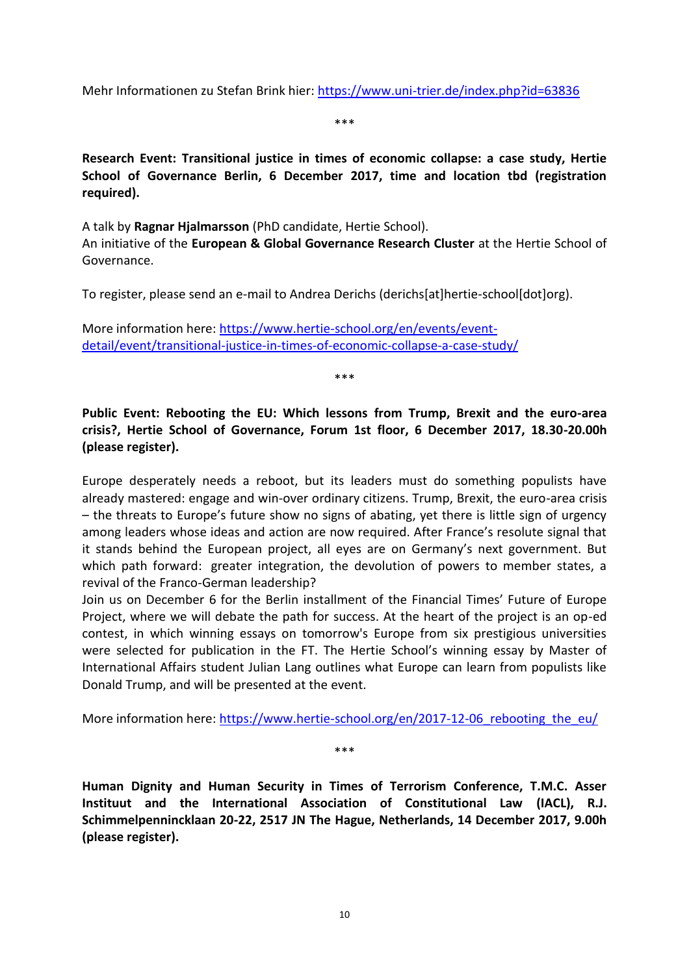Mehr Informationen zu Stefan Brink hier:<https://www.uni-trier.de/index.php?id=63836>

\*\*\*

<span id="page-12-0"></span>**Research Event: Transitional justice in times of economic collapse: a case study, Hertie School of Governance Berlin, 6 December 2017, time and location tbd (registration required).**

A talk by **Ragnar Hjalmarsson** (PhD candidate, Hertie School).

An initiative of the **European & Global Governance Research Cluster** at the Hertie School of Governance.

To register, please send an e-mail to Andrea Derichs (derichs[at]hertie-school[dot]org).

More information here: [https://www.hertie-school.org/en/events/event](https://www.hertie-school.org/en/events/event-detail/event/transitional-justice-in-times-of-economic-collapse-a-case-study/)[detail/event/transitional-justice-in-times-of-economic-collapse-a-case-study/](https://www.hertie-school.org/en/events/event-detail/event/transitional-justice-in-times-of-economic-collapse-a-case-study/)

\*\*\*

<span id="page-12-1"></span>**Public Event: Rebooting the EU: Which lessons from Trump, Brexit and the euro-area crisis?, Hertie School of Governance, Forum 1st floor, 6 December 2017, 18.30-20.00h (please register).**

Europe desperately needs a reboot, but its leaders must do something populists have already mastered: engage and win-over ordinary citizens. Trump, Brexit, the euro-area crisis – the threats to Europe's future show no signs of abating, yet there is little sign of urgency among leaders whose ideas and action are now required. After France's resolute signal that it stands behind the European project, all eyes are on Germany's next government. But which path forward: greater integration, the devolution of powers to member states, a revival of the Franco-German leadership?

Join us on December 6 for the Berlin installment of the Financial Times' Future of Europe Project, where we will debate the path for success. At the heart of the project is an op-ed contest, in which winning essays on tomorrow's Europe from six prestigious universities were selected for publication in the FT. The Hertie School's winning essay by Master of International Affairs student Julian Lang outlines what Europe can learn from populists like Donald Trump, and will be presented at the event.

More information here: https://www.hertie-school.org/en/2017-12-06 rebooting the eu/

\*\*\*

<span id="page-12-2"></span>**Human Dignity and Human Security in Times of Terrorism Conference, T.M.C. Asser Instituut and the International Association of Constitutional Law (IACL), R.J. Schimmelpennincklaan 20-22, 2517 JN The Hague, Netherlands, 14 December 2017, 9.00h (please register).**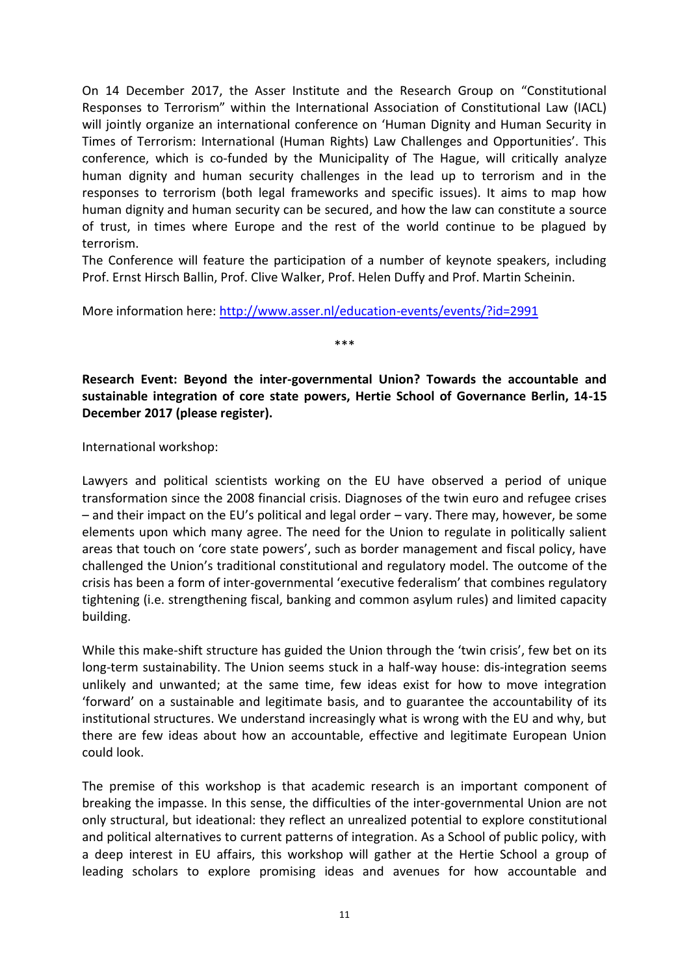On 14 December 2017, the Asser Institute and the Research Group on "Constitutional Responses to Terrorism" within the International Association of Constitutional Law (IACL) will jointly organize an international conference on 'Human Dignity and Human Security in Times of Terrorism: International (Human Rights) Law Challenges and Opportunities'. This conference, which is co-funded by the Municipality of The Hague, will critically analyze human dignity and human security challenges in the lead up to terrorism and in the responses to terrorism (both legal frameworks and specific issues). It aims to map how human dignity and human security can be secured, and how the law can constitute a source of trust, in times where Europe and the rest of the world continue to be plagued by terrorism.

The Conference will feature the participation of a number of keynote speakers, including Prof. Ernst Hirsch Ballin, Prof. Clive Walker, Prof. Helen Duffy and Prof. Martin Scheinin.

More information here:<http://www.asser.nl/education-events/events/?id=2991>

<span id="page-13-0"></span>**Research Event: Beyond the inter-governmental Union? Towards the accountable and sustainable integration of core state powers, Hertie School of Governance Berlin, 14-15 December 2017 (please register).**

\*\*\*

International workshop:

Lawyers and political scientists working on the EU have observed a period of unique transformation since the 2008 financial crisis. Diagnoses of the twin euro and refugee crises – and their impact on the EU's political and legal order – vary. There may, however, be some elements upon which many agree. The need for the Union to regulate in politically salient areas that touch on 'core state powers', such as border management and fiscal policy, have challenged the Union's traditional constitutional and regulatory model. The outcome of the crisis has been a form of inter-governmental 'executive federalism' that combines regulatory tightening (i.e. strengthening fiscal, banking and common asylum rules) and limited capacity building.

While this make-shift structure has guided the Union through the 'twin crisis', few bet on its long-term sustainability. The Union seems stuck in a half-way house: dis-integration seems unlikely and unwanted; at the same time, few ideas exist for how to move integration 'forward' on a sustainable and legitimate basis, and to guarantee the accountability of its institutional structures. We understand increasingly what is wrong with the EU and why, but there are few ideas about how an accountable, effective and legitimate European Union could look.

The premise of this workshop is that academic research is an important component of breaking the impasse. In this sense, the difficulties of the inter-governmental Union are not only structural, but ideational: they reflect an unrealized potential to explore constitutional and political alternatives to current patterns of integration. As a School of public policy, with a deep interest in EU affairs, this workshop will gather at the Hertie School a group of leading scholars to explore promising ideas and avenues for how accountable and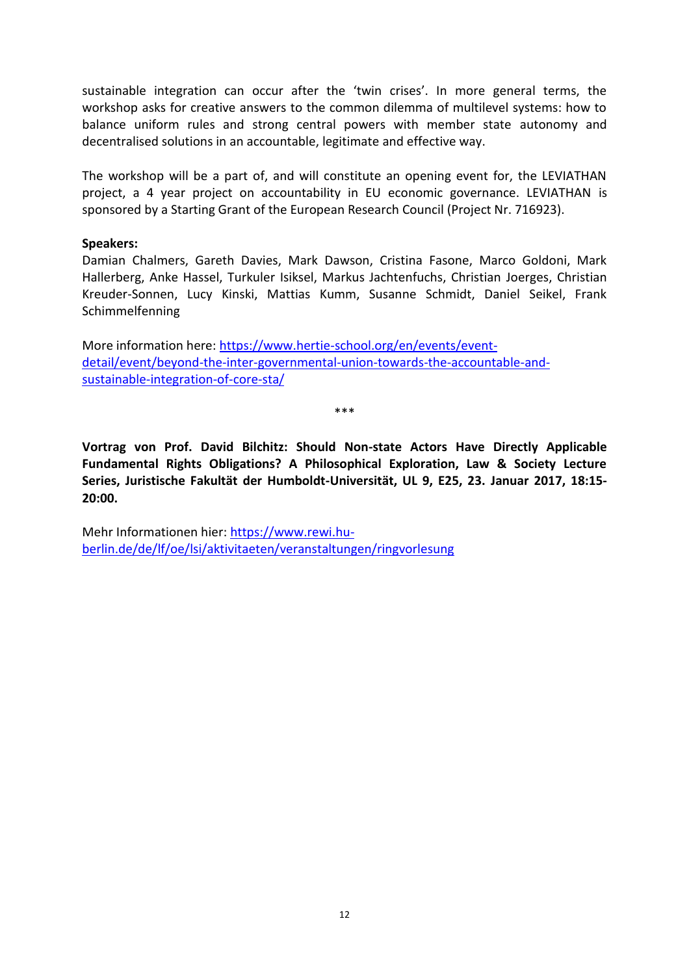sustainable integration can occur after the 'twin crises'. In more general terms, the workshop asks for creative answers to the common dilemma of multilevel systems: how to balance uniform rules and strong central powers with member state autonomy and decentralised solutions in an accountable, legitimate and effective way.

The workshop will be a part of, and will constitute an opening event for, the LEVIATHAN project, a 4 year project on accountability in EU economic governance. LEVIATHAN is sponsored by a Starting Grant of the European Research Council (Project Nr. 716923).

#### **Speakers:**

Damian Chalmers, Gareth Davies, Mark Dawson, Cristina Fasone, Marco Goldoni, Mark Hallerberg, Anke Hassel, Turkuler Isiksel, Markus Jachtenfuchs, Christian Joerges, Christian Kreuder-Sonnen, Lucy Kinski, Mattias Kumm, Susanne Schmidt, Daniel Seikel, Frank Schimmelfenning

More information here: [https://www.hertie-school.org/en/events/event](https://www.hertie-school.org/en/events/event-detail/event/beyond-the-inter-governmental-union-towards-the-accountable-and-sustainable-integration-of-core-sta/)[detail/event/beyond-the-inter-governmental-union-towards-the-accountable-and](https://www.hertie-school.org/en/events/event-detail/event/beyond-the-inter-governmental-union-towards-the-accountable-and-sustainable-integration-of-core-sta/)[sustainable-integration-of-core-sta/](https://www.hertie-school.org/en/events/event-detail/event/beyond-the-inter-governmental-union-towards-the-accountable-and-sustainable-integration-of-core-sta/)

\*\*\*

<span id="page-14-0"></span>**Vortrag von Prof. David Bilchitz: Should Non-state Actors Have Directly Applicable Fundamental Rights Obligations? A Philosophical Exploration, Law & Society Lecture Series, Juristische Fakultät der Humboldt-Universität, UL 9, E25, 23. Januar 2017, 18:15- 20:00.**

Mehr Informationen hier[: https://www.rewi.hu](https://www.rewi.hu-berlin.de/de/lf/oe/lsi/aktivitaeten/veranstaltungen/ringvorlesung)[berlin.de/de/lf/oe/lsi/aktivitaeten/veranstaltungen/ringvorlesung](https://www.rewi.hu-berlin.de/de/lf/oe/lsi/aktivitaeten/veranstaltungen/ringvorlesung)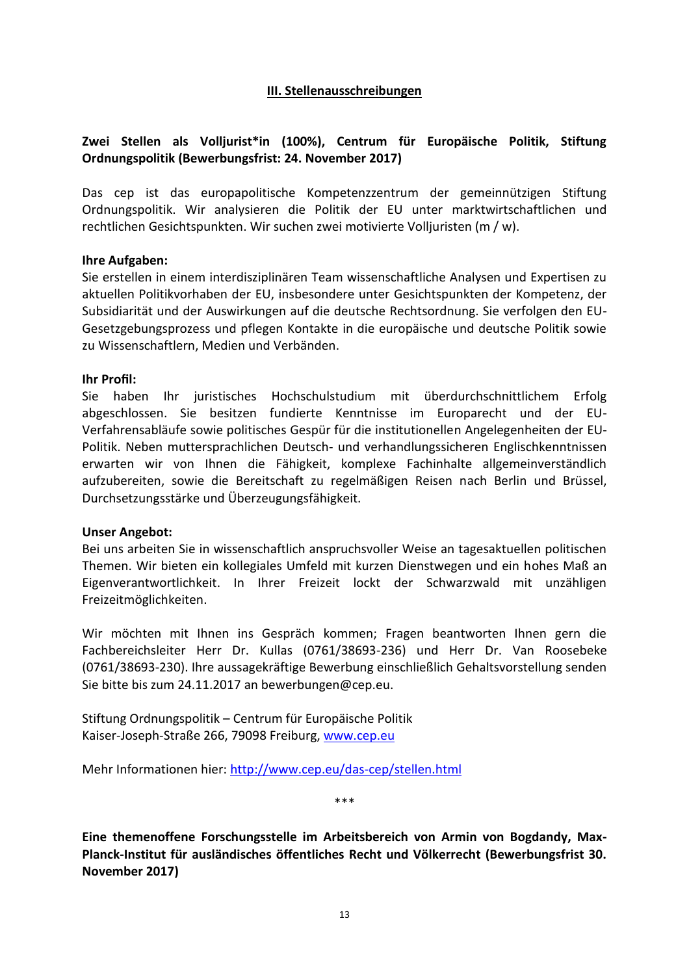#### **III. Stellenausschreibungen**

## <span id="page-15-1"></span><span id="page-15-0"></span>**Zwei Stellen als Volljurist\*in (100%), Centrum für Europäische Politik, Stiftung Ordnungspolitik (Bewerbungsfrist: 24. November 2017)**

Das cep ist das europapolitische Kompetenzzentrum der gemeinnützigen Stiftung Ordnungspolitik. Wir analysieren die Politik der EU unter marktwirtschaftlichen und rechtlichen Gesichtspunkten. Wir suchen zwei motivierte Volljuristen (m / w).

#### **Ihre Aufgaben:**

Sie erstellen in einem interdisziplinären Team wissenschaftliche Analysen und Expertisen zu aktuellen Politikvorhaben der EU, insbesondere unter Gesichtspunkten der Kompetenz, der Subsidiarität und der Auswirkungen auf die deutsche Rechtsordnung. Sie verfolgen den EU-Gesetzgebungsprozess und pflegen Kontakte in die europäische und deutsche Politik sowie zu Wissenschaftlern, Medien und Verbänden.

#### **Ihr Profil:**

Sie haben Ihr juristisches Hochschulstudium mit überdurchschnittlichem Erfolg abgeschlossen. Sie besitzen fundierte Kenntnisse im Europarecht und der EU-Verfahrensabläufe sowie politisches Gespür für die institutionellen Angelegenheiten der EU-Politik. Neben muttersprachlichen Deutsch- und verhandlungssicheren Englischkenntnissen erwarten wir von Ihnen die Fähigkeit, komplexe Fachinhalte allgemeinverständlich aufzubereiten, sowie die Bereitschaft zu regelmäßigen Reisen nach Berlin und Brüssel, Durchsetzungsstärke und Überzeugungsfähigkeit.

#### **Unser Angebot:**

Bei uns arbeiten Sie in wissenschaftlich anspruchsvoller Weise an tagesaktuellen politischen Themen. Wir bieten ein kollegiales Umfeld mit kurzen Dienstwegen und ein hohes Maß an Eigenverantwortlichkeit. In Ihrer Freizeit lockt der Schwarzwald mit unzähligen Freizeitmöglichkeiten.

Wir möchten mit Ihnen ins Gespräch kommen; Fragen beantworten Ihnen gern die Fachbereichsleiter Herr Dr. Kullas (0761/38693-236) und Herr Dr. Van Roosebeke (0761/38693-230). Ihre aussagekräftige Bewerbung einschließlich Gehaltsvorstellung senden Sie bitte bis zum 24.11.2017 an bewerbungen@cep.eu.

Stiftung Ordnungspolitik – Centrum für Europäische Politik Kaiser-Joseph-Straße 266, 79098 Freiburg, [www.cep.eu](http://www.cep.eu/)

Mehr Informationen hier:<http://www.cep.eu/das-cep/stellen.html>

\*\*\*

<span id="page-15-2"></span>**Eine themenoffene Forschungsstelle im Arbeitsbereich von Armin von Bogdandy, Max-Planck-Institut für ausländisches öffentliches Recht und Völkerrecht (Bewerbungsfrist 30. November 2017)**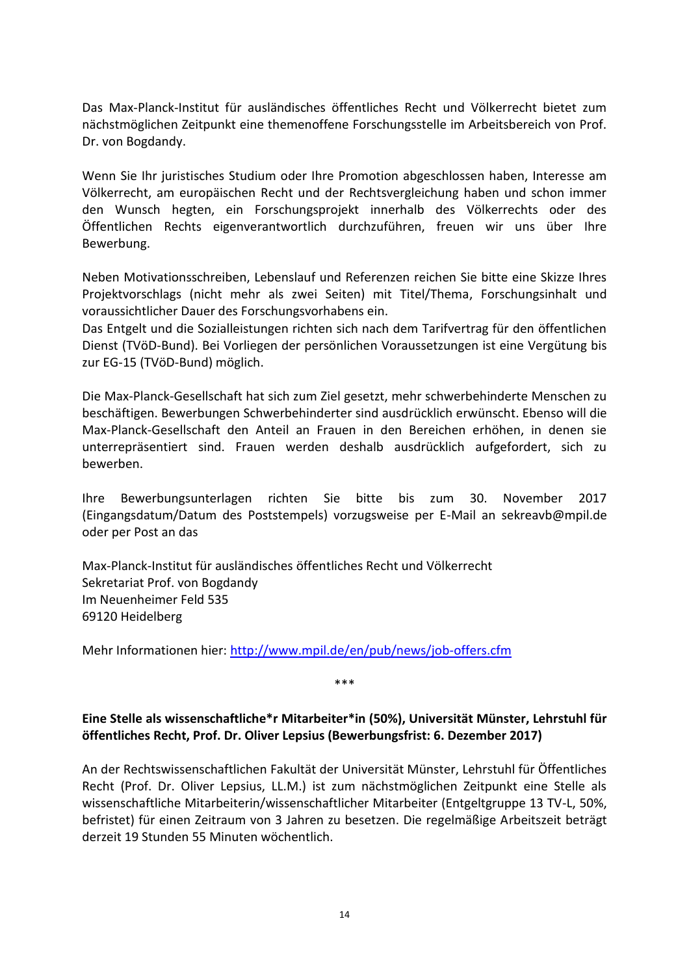Das Max-Planck-Institut für ausländisches öffentliches Recht und Völkerrecht bietet zum nächstmöglichen Zeitpunkt eine themenoffene Forschungsstelle im Arbeitsbereich von Prof. Dr. von Bogdandy.

Wenn Sie Ihr juristisches Studium oder Ihre Promotion abgeschlossen haben, Interesse am Völkerrecht, am europäischen Recht und der Rechtsvergleichung haben und schon immer den Wunsch hegten, ein Forschungsprojekt innerhalb des Völkerrechts oder des Öffentlichen Rechts eigenverantwortlich durchzuführen, freuen wir uns über Ihre Bewerbung.

Neben Motivationsschreiben, Lebenslauf und Referenzen reichen Sie bitte eine Skizze Ihres Projektvorschlags (nicht mehr als zwei Seiten) mit Titel/Thema, Forschungsinhalt und voraussichtlicher Dauer des Forschungsvorhabens ein.

Das Entgelt und die Sozialleistungen richten sich nach dem Tarifvertrag für den öffentlichen Dienst (TVöD-Bund). Bei Vorliegen der persönlichen Voraussetzungen ist eine Vergütung bis zur EG-15 (TVöD-Bund) möglich.

Die Max-Planck-Gesellschaft hat sich zum Ziel gesetzt, mehr schwerbehinderte Menschen zu beschäftigen. Bewerbungen Schwerbehinderter sind ausdrücklich erwünscht. Ebenso will die Max-Planck-Gesellschaft den Anteil an Frauen in den Bereichen erhöhen, in denen sie unterrepräsentiert sind. Frauen werden deshalb ausdrücklich aufgefordert, sich zu bewerben.

Ihre Bewerbungsunterlagen richten Sie bitte bis zum 30. November 2017 (Eingangsdatum/Datum des Poststempels) vorzugsweise per E-Mail an sekreavb@mpil.de oder per Post an das

Max-Planck-Institut für ausländisches öffentliches Recht und Völkerrecht Sekretariat Prof. von Bogdandy Im Neuenheimer Feld 535 69120 Heidelberg

Mehr Informationen hier:<http://www.mpil.de/en/pub/news/job-offers.cfm>

\*\*\*

### <span id="page-16-0"></span>**Eine Stelle als wissenschaftliche\*r Mitarbeiter\*in (50%), Universität Münster, Lehrstuhl für öffentliches Recht, Prof. Dr. Oliver Lepsius (Bewerbungsfrist: 6. Dezember 2017)**

An der Rechtswissenschaftlichen Fakultät der Universität Münster, Lehrstuhl für Öffentliches Recht (Prof. Dr. Oliver Lepsius, LL.M.) ist zum nächstmöglichen Zeitpunkt eine Stelle als wissenschaftliche Mitarbeiterin/wissenschaftlicher Mitarbeiter (Entgeltgruppe 13 TV-L, 50%, befristet) für einen Zeitraum von 3 Jahren zu besetzen. Die regelmäßige Arbeitszeit beträgt derzeit 19 Stunden 55 Minuten wöchentlich.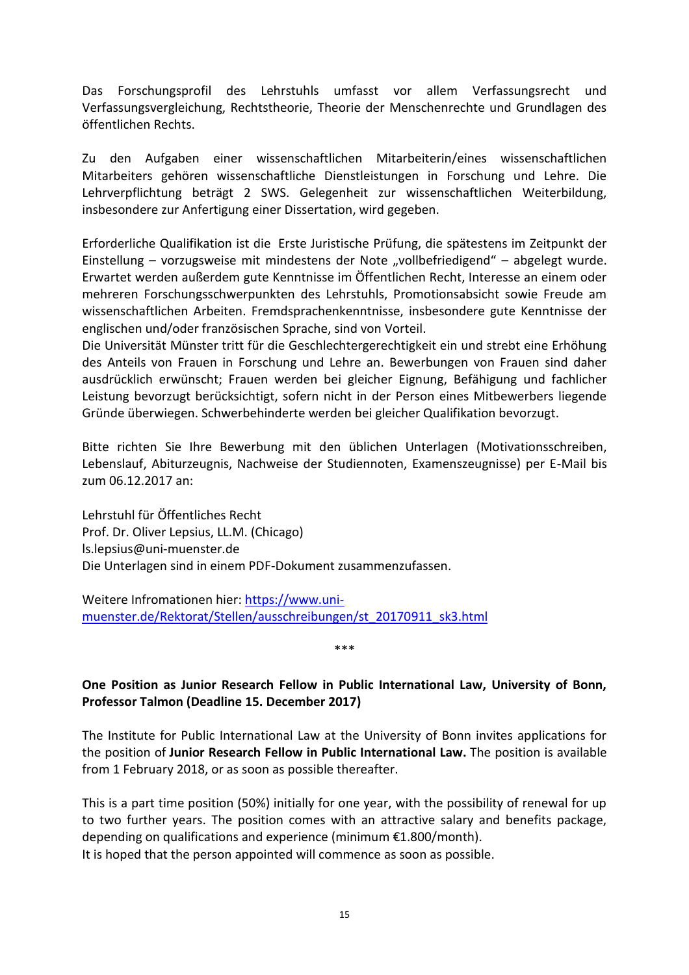Das Forschungsprofil des Lehrstuhls umfasst vor allem Verfassungsrecht und Verfassungsvergleichung, Rechtstheorie, Theorie der Menschenrechte und Grundlagen des öffentlichen Rechts.

Zu den Aufgaben einer wissenschaftlichen Mitarbeiterin/eines wissenschaftlichen Mitarbeiters gehören wissenschaftliche Dienstleistungen in Forschung und Lehre. Die Lehrverpflichtung beträgt 2 SWS. Gelegenheit zur wissenschaftlichen Weiterbildung, insbesondere zur Anfertigung einer Dissertation, wird gegeben.

Erforderliche Qualifikation ist die Erste Juristische Prüfung, die spätestens im Zeitpunkt der Einstellung – vorzugsweise mit mindestens der Note "vollbefriedigend" – abgelegt wurde. Erwartet werden außerdem gute Kenntnisse im Öffentlichen Recht, Interesse an einem oder mehreren Forschungsschwerpunkten des Lehrstuhls, Promotionsabsicht sowie Freude am wissenschaftlichen Arbeiten. Fremdsprachenkenntnisse, insbesondere gute Kenntnisse der englischen und/oder französischen Sprache, sind von Vorteil.

Die Universität Münster tritt für die Geschlechtergerechtigkeit ein und strebt eine Erhöhung des Anteils von Frauen in Forschung und Lehre an. Bewerbungen von Frauen sind daher ausdrücklich erwünscht; Frauen werden bei gleicher Eignung, Befähigung und fachlicher Leistung bevorzugt berücksichtigt, sofern nicht in der Person eines Mitbewerbers liegende Gründe überwiegen. Schwerbehinderte werden bei gleicher Qualifikation bevorzugt.

Bitte richten Sie Ihre Bewerbung mit den üblichen Unterlagen (Motivationsschreiben, Lebenslauf, Abiturzeugnis, Nachweise der Studiennoten, Examenszeugnisse) per E-Mail bis zum 06.12.2017 an:

Lehrstuhl für Öffentliches Recht Prof. Dr. Oliver Lepsius, LL.M. (Chicago) ls.lepsius@uni-muenster.de Die Unterlagen sind in einem PDF-Dokument zusammenzufassen.

Weitere Infromationen hier: [https://www.uni](https://www.uni-muenster.de/Rektorat/Stellen/ausschreibungen/st_20170911_sk3.html)[muenster.de/Rektorat/Stellen/ausschreibungen/st\\_20170911\\_sk3.html](https://www.uni-muenster.de/Rektorat/Stellen/ausschreibungen/st_20170911_sk3.html)

\*\*\*

## <span id="page-17-0"></span>**One Position as Junior Research Fellow in Public International Law, University of Bonn, Professor Talmon (Deadline 15. December 2017)**

The Institute for Public International Law at the University of Bonn invites applications for the position of **Junior Research Fellow in Public International Law.** The position is available from 1 February 2018, or as soon as possible thereafter.

This is a part time position (50%) initially for one year, with the possibility of renewal for up to two further years. The position comes with an attractive salary and benefits package, depending on qualifications and experience (minimum €1.800/month).

It is hoped that the person appointed will commence as soon as possible.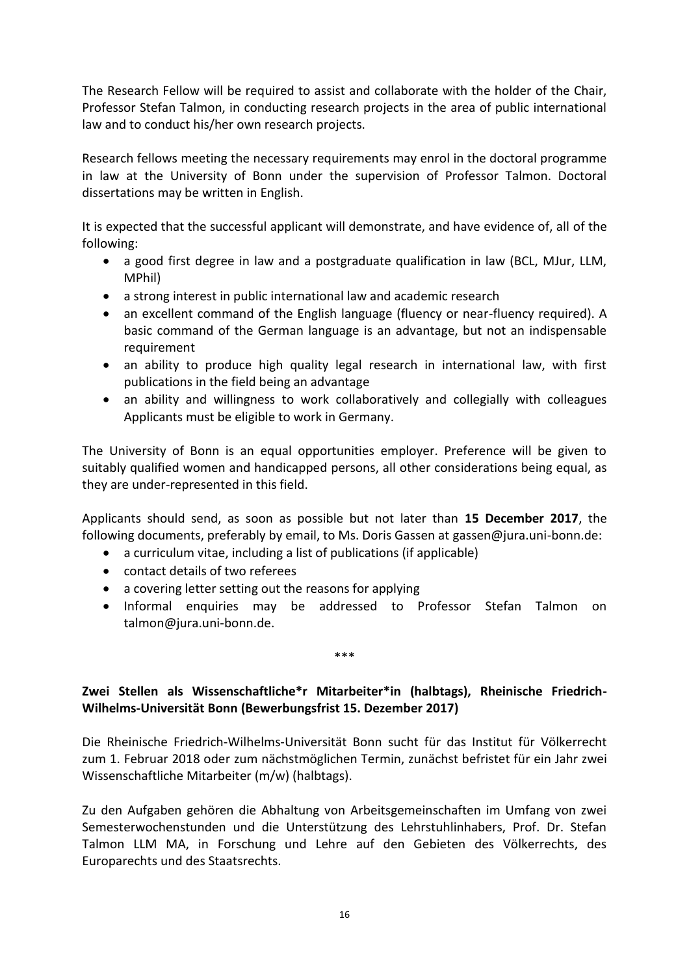The Research Fellow will be required to assist and collaborate with the holder of the Chair, Professor Stefan Talmon, in conducting research projects in the area of public international law and to conduct his/her own research projects.

Research fellows meeting the necessary requirements may enrol in the doctoral programme in law at the University of Bonn under the supervision of Professor Talmon. Doctoral dissertations may be written in English.

It is expected that the successful applicant will demonstrate, and have evidence of, all of the following:

- a good first degree in law and a postgraduate qualification in law (BCL, MJur, LLM, MPhil)
- a strong interest in public international law and academic research
- an excellent command of the English language (fluency or near-fluency required). A basic command of the German language is an advantage, but not an indispensable requirement
- an ability to produce high quality legal research in international law, with first publications in the field being an advantage
- an ability and willingness to work collaboratively and collegially with colleagues Applicants must be eligible to work in Germany.

The University of Bonn is an equal opportunities employer. Preference will be given to suitably qualified women and handicapped persons, all other considerations being equal, as they are under-represented in this field.

Applicants should send, as soon as possible but not later than **15 December 2017**, the following documents, preferably by email, to Ms. Doris Gassen at gassen@jura.uni-bonn.de:

- a curriculum vitae, including a list of publications (if applicable)
- contact details of two referees
- a covering letter setting out the reasons for applying
- Informal enquiries may be addressed to Professor Stefan Talmon on talmon@jura.uni-bonn.de.

## <span id="page-18-0"></span>**Zwei Stellen als Wissenschaftliche\*r Mitarbeiter\*in (halbtags), Rheinische Friedrich-Wilhelms-Universität Bonn (Bewerbungsfrist 15. Dezember 2017)**

\*\*\*

Die Rheinische Friedrich-Wilhelms-Universität Bonn sucht für das Institut für Völkerrecht zum 1. Februar 2018 oder zum nächstmöglichen Termin, zunächst befristet für ein Jahr zwei Wissenschaftliche Mitarbeiter (m/w) (halbtags).

Zu den Aufgaben gehören die Abhaltung von Arbeitsgemeinschaften im Umfang von zwei Semesterwochenstunden und die Unterstützung des Lehrstuhlinhabers, Prof. Dr. Stefan Talmon LLM MA, in Forschung und Lehre auf den Gebieten des Völkerrechts, des Europarechts und des Staatsrechts.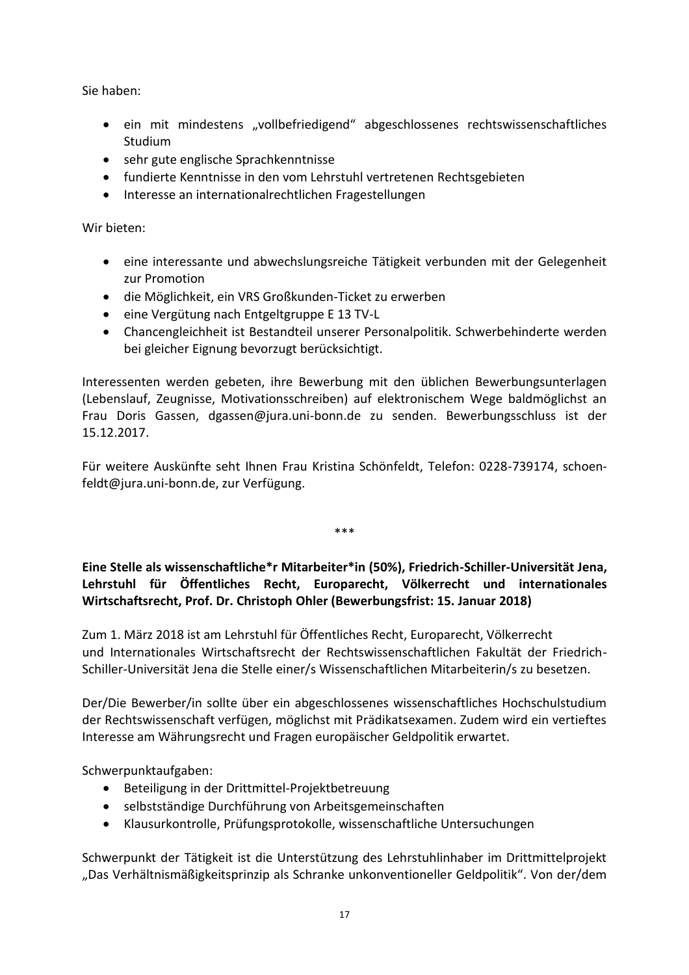Sie haben:

- ein mit mindestens "vollbefriedigend" abgeschlossenes rechtswissenschaftliches Studium
- sehr gute englische Sprachkenntnisse
- fundierte Kenntnisse in den vom Lehrstuhl vertretenen Rechtsgebieten
- Interesse an internationalrechtlichen Fragestellungen

Wir bieten:

- eine interessante und abwechslungsreiche Tätigkeit verbunden mit der Gelegenheit zur Promotion
- die Möglichkeit, ein VRS Großkunden-Ticket zu erwerben
- eine Vergütung nach Entgeltgruppe E 13 TV-L
- Chancengleichheit ist Bestandteil unserer Personalpolitik. Schwerbehinderte werden bei gleicher Eignung bevorzugt berücksichtigt.

Interessenten werden gebeten, ihre Bewerbung mit den üblichen Bewerbungsunterlagen (Lebenslauf, Zeugnisse, Motivationsschreiben) auf elektronischem Wege baldmöglichst an Frau Doris Gassen, dgassen@jura.uni-bonn.de zu senden. Bewerbungsschluss ist der 15.12.2017.

Für weitere Auskünfte seht Ihnen Frau Kristina Schönfeldt, Telefon: 0228-739174, schoenfeldt@jura.uni-bonn.de, zur Verfügung.

\*\*\*

## <span id="page-19-0"></span>**Eine Stelle als wissenschaftliche\*r Mitarbeiter\*in (50%), Friedrich-Schiller-Universität Jena, Lehrstuhl für Öffentliches Recht, Europarecht, Völkerrecht und internationales Wirtschaftsrecht, Prof. Dr. Christoph Ohler (Bewerbungsfrist: 15. Januar 2018)**

Zum 1. März 2018 ist am Lehrstuhl für Öffentliches Recht, Europarecht, Völkerrecht und Internationales Wirtschaftsrecht der Rechtswissenschaftlichen Fakultät der Friedrich-Schiller-Universität Jena die Stelle einer/s Wissenschaftlichen Mitarbeiterin/s zu besetzen.

Der/Die Bewerber/in sollte über ein abgeschlossenes wissenschaftliches Hochschulstudium der Rechtswissenschaft verfügen, möglichst mit Prädikatsexamen. Zudem wird ein vertieftes Interesse am Währungsrecht und Fragen europäischer Geldpolitik erwartet.

Schwerpunktaufgaben:

- Beteiligung in der Drittmittel-Projektbetreuung
- selbstständige Durchführung von Arbeitsgemeinschaften
- Klausurkontrolle, Prüfungsprotokolle, wissenschaftliche Untersuchungen

Schwerpunkt der Tätigkeit ist die Unterstützung des Lehrstuhlinhaber im Drittmittelprojekt "Das Verhältnismäßigkeitsprinzip als Schranke unkonventioneller Geldpolitik". Von der/dem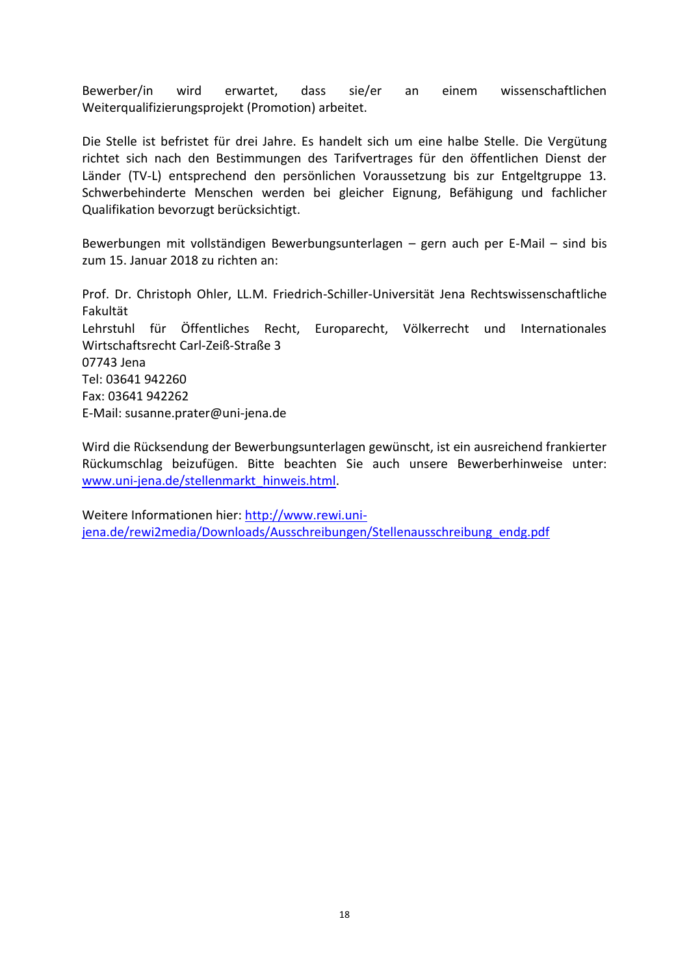Bewerber/in wird erwartet, dass sie/er an einem wissenschaftlichen Weiterqualifizierungsprojekt (Promotion) arbeitet.

Die Stelle ist befristet für drei Jahre. Es handelt sich um eine halbe Stelle. Die Vergütung richtet sich nach den Bestimmungen des Tarifvertrages für den öffentlichen Dienst der Länder (TV-L) entsprechend den persönlichen Voraussetzung bis zur Entgeltgruppe 13. Schwerbehinderte Menschen werden bei gleicher Eignung, Befähigung und fachlicher Qualifikation bevorzugt berücksichtigt.

Bewerbungen mit vollständigen Bewerbungsunterlagen – gern auch per E-Mail – sind bis zum 15. Januar 2018 zu richten an:

Prof. Dr. Christoph Ohler, LL.M. Friedrich-Schiller-Universität Jena Rechtswissenschaftliche Fakultät Lehrstuhl für Öffentliches Recht, Europarecht, Völkerrecht und Internationales Wirtschaftsrecht Carl-Zeiß-Straße 3 07743 Jena Tel: 03641 942260 Fax: 03641 942262 E-Mail: susanne.prater@uni-jena.de

Wird die Rücksendung der Bewerbungsunterlagen gewünscht, ist ein ausreichend frankierter Rückumschlag beizufügen. Bitte beachten Sie auch unsere Bewerberhinweise unter: [www.uni-jena.de/stellenmarkt\\_hinweis.html.](http://www.uni-jena.de/stellenmarkt_hinweis.html)

Weitere Informationen hier: [http://www.rewi.uni](http://www.rewi.uni-jena.de/rewi2media/Downloads/Ausschreibungen/Stellenausschreibung_endg.pdf)[jena.de/rewi2media/Downloads/Ausschreibungen/Stellenausschreibung\\_endg.pdf](http://www.rewi.uni-jena.de/rewi2media/Downloads/Ausschreibungen/Stellenausschreibung_endg.pdf)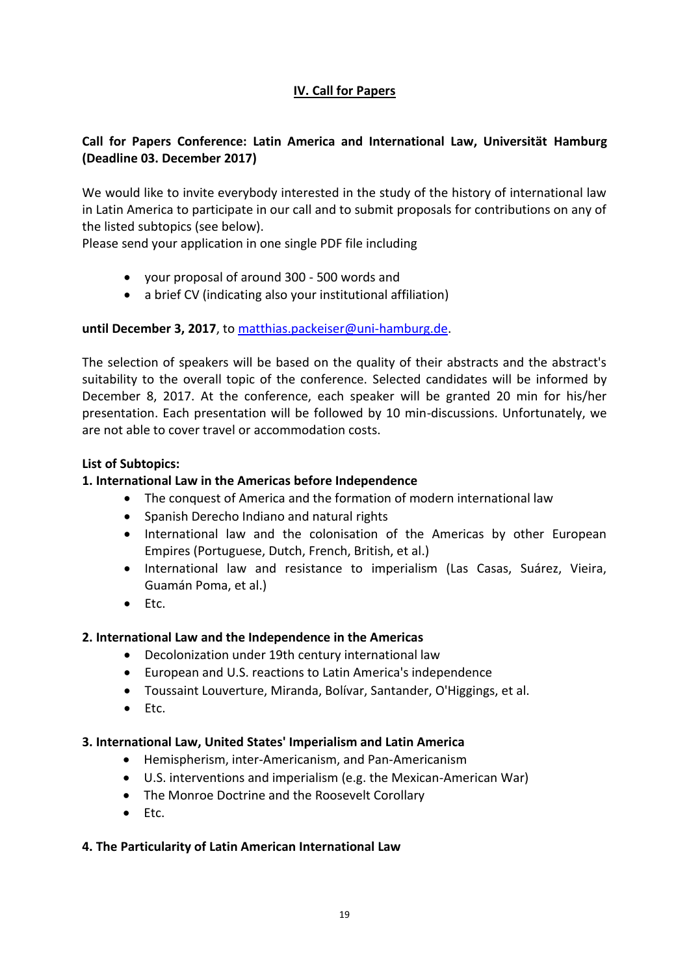## **IV. Call for Papers**

## <span id="page-21-1"></span><span id="page-21-0"></span>**Call for Papers Conference: Latin America and International Law, Universität Hamburg (Deadline 03. December 2017)**

We would like to invite everybody interested in the study of the history of international law in Latin America to participate in our call and to submit proposals for contributions on any of the listed subtopics (see below).

Please send your application in one single PDF file including

- your proposal of around 300 500 words and
- a brief CV (indicating also your institutional affiliation)

## **until December 3, 2017**, to [matthias.packeiser@uni-hamburg.de.](mailto:matthias.packeiser@uni-hamburg.de)

The selection of speakers will be based on the quality of their abstracts and the abstract's suitability to the overall topic of the conference. Selected candidates will be informed by December 8, 2017. At the conference, each speaker will be granted 20 min for his/her presentation. Each presentation will be followed by 10 min-discussions. Unfortunately, we are not able to cover travel or accommodation costs.

## **List of Subtopics:**

## **1. International Law in the Americas before Independence**

- The conquest of America and the formation of modern international law
- Spanish Derecho Indiano and natural rights
- International law and the colonisation of the Americas by other European Empires (Portuguese, Dutch, French, British, et al.)
- International law and resistance to imperialism (Las Casas, Suárez, Vieira, Guamán Poma, et al.)
- $\bullet$  Etc.

## **2. International Law and the Independence in the Americas**

- Decolonization under 19th century international law
- European and U.S. reactions to Latin America's independence
- Toussaint Louverture, Miranda, Bolívar, Santander, O'Higgings, et al.
- $\bullet$  Etc.

## **3. International Law, United States' Imperialism and Latin America**

- Hemispherism, inter-Americanism, and Pan-Americanism
- U.S. interventions and imperialism (e.g. the Mexican-American War)
- The Monroe Doctrine and the Roosevelt Corollary
- $\bullet$  Etc.

## **4. The Particularity of Latin American International Law**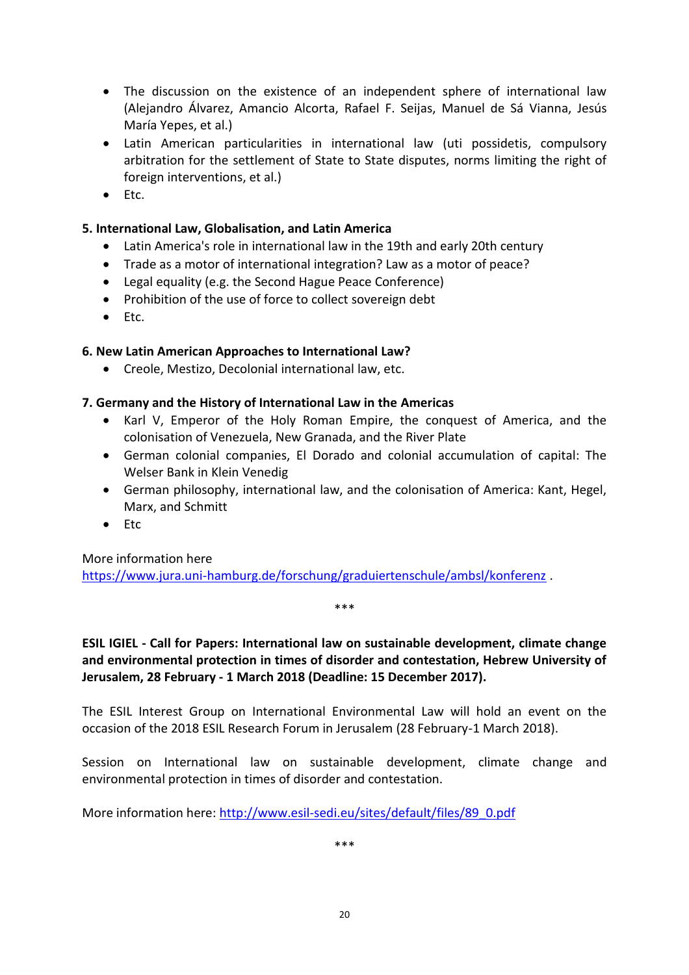- The discussion on the existence of an independent sphere of international law (Alejandro Álvarez, Amancio Alcorta, Rafael F. Seijas, Manuel de Sá Vianna, Jesús María Yepes, et al.)
- Latin American particularities in international law (uti possidetis, compulsory arbitration for the settlement of State to State disputes, norms limiting the right of foreign interventions, et al.)
- $\bullet$  Etc.

#### **5. International Law, Globalisation, and Latin America**

- Latin America's role in international law in the 19th and early 20th century
- Trade as a motor of international integration? Law as a motor of peace?
- Legal equality (e.g. the Second Hague Peace Conference)
- Prohibition of the use of force to collect sovereign debt
- $\bullet$  Etc.

#### **6. New Latin American Approaches to International Law?**

Creole, Mestizo, Decolonial international law, etc.

#### **7. Germany and the History of International Law in the Americas**

- Karl V, Emperor of the Holy Roman Empire, the conquest of America, and the colonisation of Venezuela, New Granada, and the River Plate
- German colonial companies, El Dorado and colonial accumulation of capital: The Welser Bank in Klein Venedig
- German philosophy, international law, and the colonisation of America: Kant, Hegel, Marx, and Schmitt
- $\bullet$  Ftc

More information here

<https://www.jura.uni-hamburg.de/forschung/graduiertenschule/ambsl/konferenz> .

\*\*\*

<span id="page-22-0"></span>**ESIL IGIEL - Call for Papers: International law on sustainable development, climate change and environmental protection in times of disorder and contestation, Hebrew University of Jerusalem, 28 February - 1 March 2018 (Deadline: 15 December 2017).**

The ESIL Interest Group on International Environmental Law will hold an event on the occasion of the 2018 ESIL Research Forum in Jerusalem (28 February-1 March 2018).

Session on International law on sustainable development, climate change and environmental protection in times of disorder and contestation.

More information here: [http://www.esil-sedi.eu/sites/default/files/89\\_0.pdf](http://www.esil-sedi.eu/sites/default/files/89_0.pdf)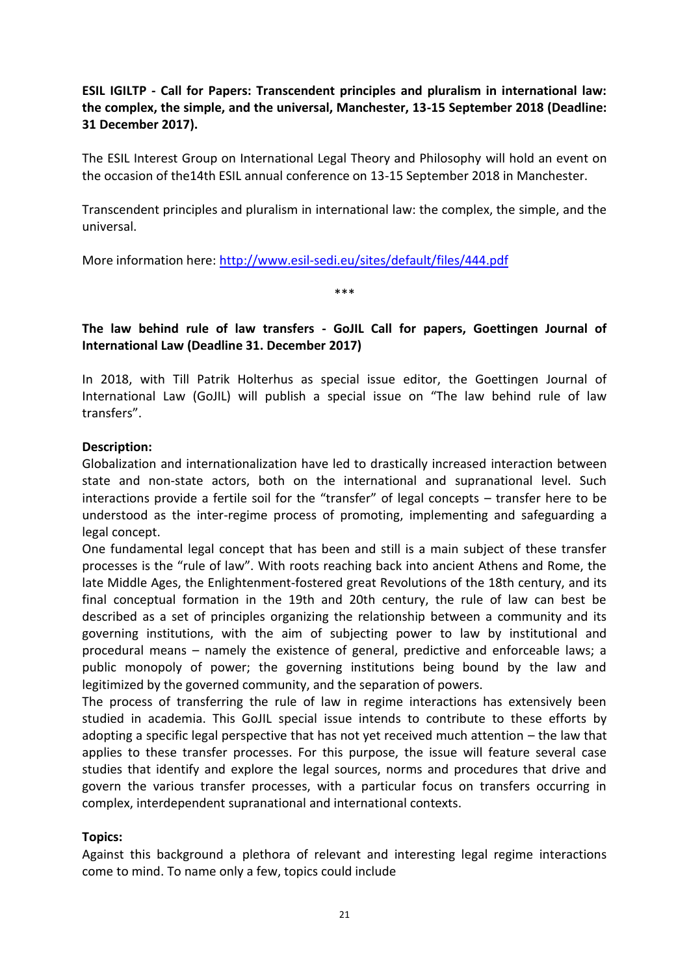<span id="page-23-0"></span>**ESIL IGILTP - Call for Papers: Transcendent principles and pluralism in international law: the complex, the simple, and the universal, Manchester, 13-15 September 2018 (Deadline: 31 December 2017).**

The ESIL Interest Group on International Legal Theory and Philosophy will hold an event on the occasion of the14th ESIL annual conference on 13-15 September 2018 in Manchester.

Transcendent principles and pluralism in international law: the complex, the simple, and the universal.

More information here:<http://www.esil-sedi.eu/sites/default/files/444.pdf>

\*\*\*

## <span id="page-23-1"></span>**The law behind rule of law transfers - GoJIL Call for papers, Goettingen Journal of International Law (Deadline 31. December 2017)**

In 2018, with Till Patrik Holterhus as special issue editor, the Goettingen Journal of International Law (GoJIL) will publish a special issue on "The law behind rule of law transfers".

### **Description:**

Globalization and internationalization have led to drastically increased interaction between state and non-state actors, both on the international and supranational level. Such interactions provide a fertile soil for the "transfer" of legal concepts – transfer here to be understood as the inter-regime process of promoting, implementing and safeguarding a legal concept.

One fundamental legal concept that has been and still is a main subject of these transfer processes is the "rule of law". With roots reaching back into ancient Athens and Rome, the late Middle Ages, the Enlightenment-fostered great Revolutions of the 18th century, and its final conceptual formation in the 19th and 20th century, the rule of law can best be described as a set of principles organizing the relationship between a community and its governing institutions, with the aim of subjecting power to law by institutional and procedural means – namely the existence of general, predictive and enforceable laws; a public monopoly of power; the governing institutions being bound by the law and legitimized by the governed community, and the separation of powers.

The process of transferring the rule of law in regime interactions has extensively been studied in academia. This GoJIL special issue intends to contribute to these efforts by adopting a specific legal perspective that has not yet received much attention – the law that applies to these transfer processes. For this purpose, the issue will feature several case studies that identify and explore the legal sources, norms and procedures that drive and govern the various transfer processes, with a particular focus on transfers occurring in complex, interdependent supranational and international contexts.

#### **Topics:**

Against this background a plethora of relevant and interesting legal regime interactions come to mind. To name only a few, topics could include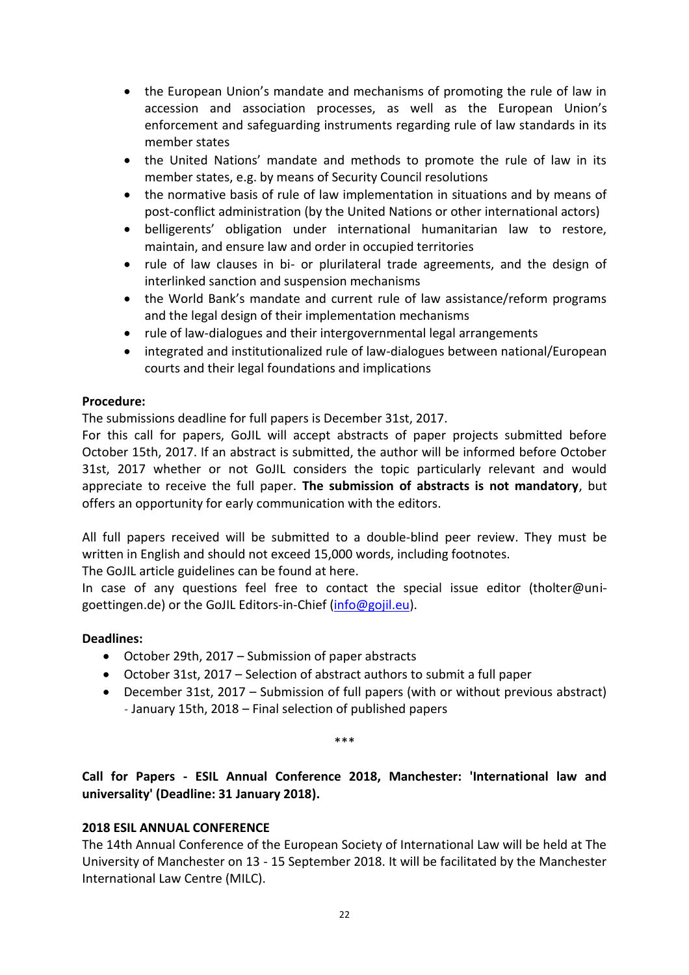- the European Union's mandate and mechanisms of promoting the rule of law in accession and association processes, as well as the European Union's enforcement and safeguarding instruments regarding rule of law standards in its member states
- the United Nations' mandate and methods to promote the rule of law in its member states, e.g. by means of Security Council resolutions
- the normative basis of rule of law implementation in situations and by means of post-conflict administration (by the United Nations or other international actors)
- belligerents' obligation under international humanitarian law to restore, maintain, and ensure law and order in occupied territories
- rule of law clauses in bi- or plurilateral trade agreements, and the design of interlinked sanction and suspension mechanisms
- the World Bank's mandate and current rule of law assistance/reform programs and the legal design of their implementation mechanisms
- rule of law-dialogues and their intergovernmental legal arrangements
- integrated and institutionalized rule of law-dialogues between national/European courts and their legal foundations and implications

### **Procedure:**

The submissions deadline for full papers is December 31st, 2017.

For this call for papers, GoJIL will accept abstracts of paper projects submitted before October 15th, 2017. If an abstract is submitted, the author will be informed before October 31st, 2017 whether or not GoJIL considers the topic particularly relevant and would appreciate to receive the full paper. **The submission of abstracts is not mandatory**, but offers an opportunity for early communication with the editors.

All full papers received will be submitted to a double-blind peer review. They must be written in English and should not exceed 15,000 words, including footnotes.

The GoJIL article guidelines can be found at here.

In case of any questions feel free to contact the special issue editor (tholter@unigoettingen.de) or the GoJIL Editors-in-Chief [\(info@gojil.eu\)](mailto:info@gojil.eu).

## **Deadlines:**

- October 29th, 2017 Submission of paper abstracts
- October 31st, 2017 Selection of abstract authors to submit a full paper
- December 31st, 2017 Submission of full papers (with or without previous abstract) ˗ January 15th, 2018 – Final selection of published papers

\*\*\*

<span id="page-24-0"></span>**Call for Papers - ESIL Annual Conference 2018, Manchester: 'International law and universality' (Deadline: 31 January 2018).**

#### **2018 ESIL ANNUAL CONFERENCE**

The 14th Annual Conference of the European Society of International Law will be held at The University of Manchester on 13 - 15 September 2018. It will be facilitated by the Manchester International Law Centre (MILC).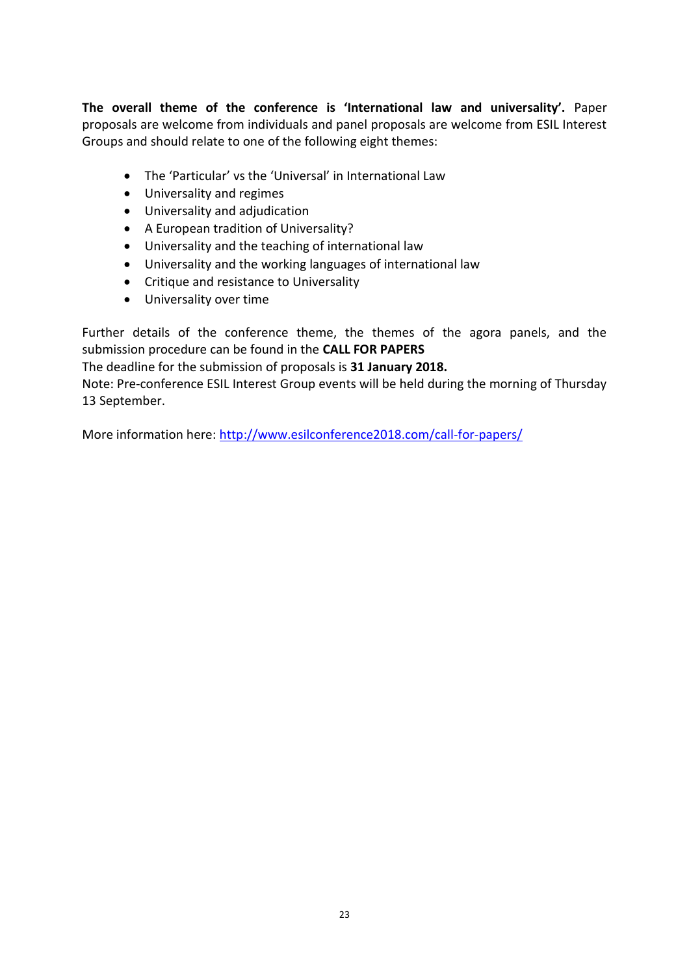**The overall theme of the conference is 'International law and universality'.** Paper proposals are welcome from individuals and panel proposals are welcome from ESIL Interest Groups and should relate to one of the following eight themes:

- The 'Particular' vs the 'Universal' in International Law
- Universality and regimes
- Universality and adjudication
- A European tradition of Universality?
- Universality and the teaching of international law
- Universality and the working languages of international law
- Critique and resistance to Universality
- Universality over time

Further details of the conference theme, the themes of the agora panels, and the submission procedure can be found in the **CALL FOR PAPERS**

The deadline for the submission of proposals is **31 January 2018.**

Note: Pre-conference ESIL Interest Group events will be held during the morning of Thursday 13 September.

More information here:<http://www.esilconference2018.com/call-for-papers/>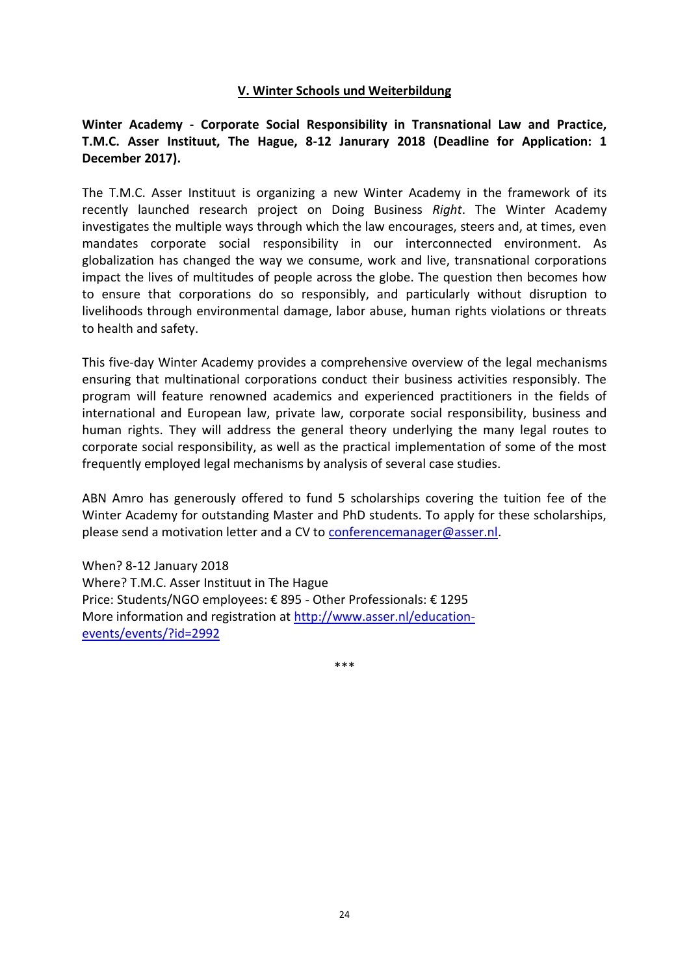#### **V. Winter Schools und Weiterbildung**

## <span id="page-26-1"></span><span id="page-26-0"></span>**Winter Academy - Corporate Social Responsibility in Transnational Law and Practice, T.M.C. Asser Instituut, The Hague, 8-12 Janurary 2018 (Deadline for Application: 1 December 2017).**

The T.M.C. Asser Instituut is organizing a new Winter Academy in the framework of its recently launched research project on Doing Business *Right*. The Winter Academy investigates the multiple ways through which the law encourages, steers and, at times, even mandates corporate social responsibility in our interconnected environment. As globalization has changed the way we consume, work and live, transnational corporations impact the lives of multitudes of people across the globe. The question then becomes how to ensure that corporations do so responsibly, and particularly without disruption to livelihoods through environmental damage, labor abuse, human rights violations or threats to health and safety.

This five-day Winter Academy provides a comprehensive overview of the legal mechanisms ensuring that multinational corporations conduct their business activities responsibly. The program will feature renowned academics and experienced practitioners in the fields of international and European law, private law, corporate social responsibility, business and human rights. They will address the general theory underlying the many legal routes to corporate social responsibility, as well as the practical implementation of some of the most frequently employed legal mechanisms by analysis of several case studies.

ABN Amro has generously offered to fund 5 scholarships covering the tuition fee of the Winter Academy for outstanding Master and PhD students. To apply for these scholarships, please send a motivation letter and a CV to [conferencemanager@asser.nl.](mailto:conferencemanager@asser.nl)

When? 8-12 January 2018 Where? T.M.C. Asser Instituut in The Hague Price: Students/NGO employees: € 895 - Other Professionals: € 1295 More information and registration at [http://www.asser.nl/education](http://www.asser.nl/education-events/events/?id=2992)[events/events/?id=2992](http://www.asser.nl/education-events/events/?id=2992)